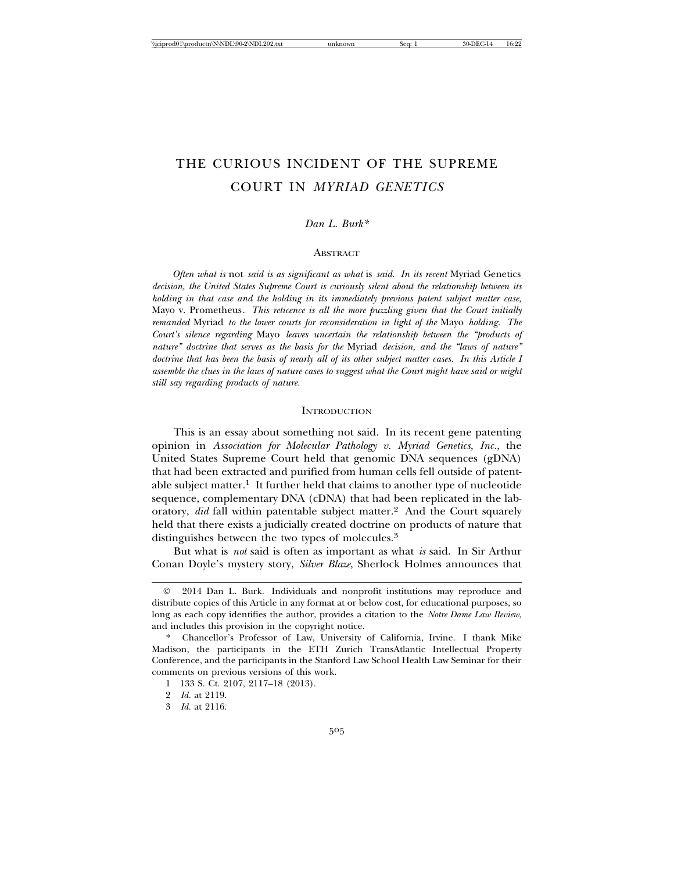# THE CURIOUS INCIDENT OF THE SUPREME COURT IN *MYRIAD GENETICS*

## *Dan L. Burk\**

#### **ABSTRACT**

*Often what is* not *said is as significant as what* is *said. In its recent* Myriad Genetics *decision, the United States Supreme Court is curiously silent about the relationship between its holding in that case and the holding in its immediately previous patent subject matter case,* Mayo v. Prometheus*. This reticence is all the more puzzling given that the Court initially remanded* Myriad *to the lower courts for reconsideration in light of the* Mayo *holding. The Court's silence regarding* Mayo *leaves uncertain the relationship between the "products of nature" doctrine that serves as the basis for the* Myriad *decision, and the "laws of nature" doctrine that has been the basis of nearly all of its other subject matter cases. In this Article I assemble the clues in the laws of nature cases to suggest what the Court might have said or might still say regarding products of nature.*

#### **INTRODUCTION**

This is an essay about something not said. In its recent gene patenting opinion in *Association for Molecular Pathology v. Myriad Genetics, Inc.*, the United States Supreme Court held that genomic DNA sequences (gDNA) that had been extracted and purified from human cells fell outside of patentable subject matter.<sup>1</sup> It further held that claims to another type of nucleotide sequence, complementary DNA (cDNA) that had been replicated in the laboratory, *did* fall within patentable subject matter.2 And the Court squarely held that there exists a judicially created doctrine on products of nature that distinguishes between the two types of molecules.3

But what is *not* said is often as important as what *is* said. In Sir Arthur Conan Doyle's mystery story, *Silver Blaze*, Sherlock Holmes announces that

<sup>©</sup> 2014 Dan L. Burk. Individuals and nonprofit institutions may reproduce and distribute copies of this Article in any format at or below cost, for educational purposes, so long as each copy identifies the author, provides a citation to the *Notre Dame Law Review*, and includes this provision in the copyright notice.

<sup>\*</sup> Chancellor's Professor of Law, University of California, Irvine. I thank Mike Madison, the participants in the ETH Zurich TransAtlantic Intellectual Property Conference, and the participants in the Stanford Law School Health Law Seminar for their comments on previous versions of this work.

<sup>1 133</sup> S. Ct. 2107, 2117–18 (2013).

<sup>2</sup> *Id.* at 2119.

<sup>3</sup> *Id.* at 2116.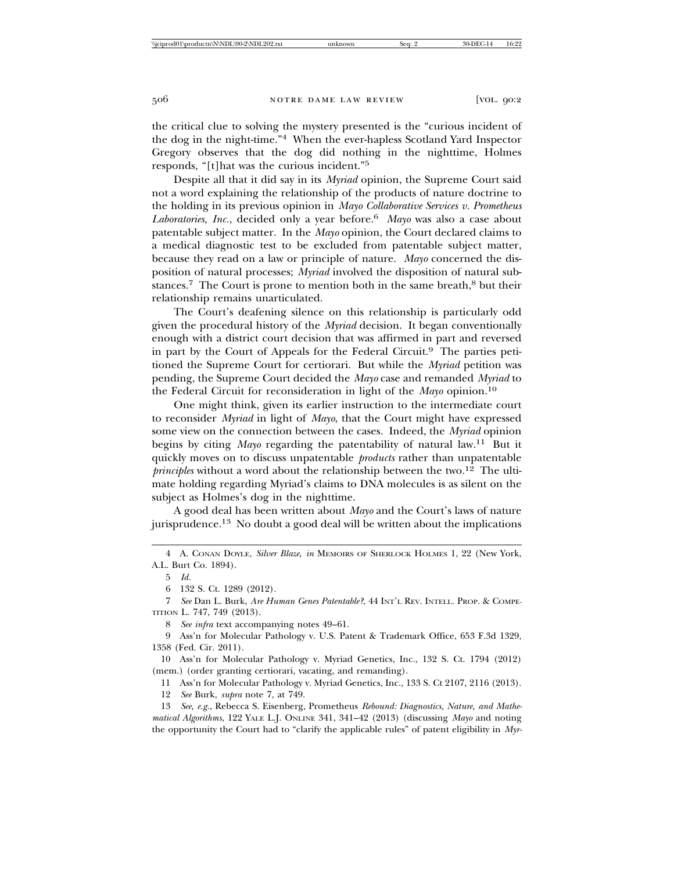the critical clue to solving the mystery presented is the "curious incident of the dog in the night-time."4 When the ever-hapless Scotland Yard Inspector Gregory observes that the dog did nothing in the nighttime, Holmes responds, "[t]hat was the curious incident."5

Despite all that it did say in its *Myriad* opinion, the Supreme Court said not a word explaining the relationship of the products of nature doctrine to the holding in its previous opinion in *Mayo Collaborative Services v. Prometheus Laboratories, Inc.*, decided only a year before.6 *Mayo* was also a case about patentable subject matter. In the *Mayo* opinion, the Court declared claims to a medical diagnostic test to be excluded from patentable subject matter, because they read on a law or principle of nature. *Mayo* concerned the disposition of natural processes; *Myriad* involved the disposition of natural substances.<sup>7</sup> The Court is prone to mention both in the same breath,<sup>8</sup> but their relationship remains unarticulated.

The Court's deafening silence on this relationship is particularly odd given the procedural history of the *Myriad* decision. It began conventionally enough with a district court decision that was affirmed in part and reversed in part by the Court of Appeals for the Federal Circuit.<sup>9</sup> The parties petitioned the Supreme Court for certiorari. But while the *Myriad* petition was pending, the Supreme Court decided the *Mayo* case and remanded *Myriad* to the Federal Circuit for reconsideration in light of the *Mayo* opinion.10

One might think, given its earlier instruction to the intermediate court to reconsider *Myriad* in light of *Mayo*, that the Court might have expressed some view on the connection between the cases. Indeed, the *Myriad* opinion begins by citing *Mayo* regarding the patentability of natural law.<sup>11</sup> But it quickly moves on to discuss unpatentable *products* rather than unpatentable  $\hat{pr}$ *principles* without a word about the relationship between the two.<sup>12</sup> The ultimate holding regarding Myriad's claims to DNA molecules is as silent on the subject as Holmes's dog in the nighttime.

A good deal has been written about *Mayo* and the Court's laws of nature jurisprudence.13 No doubt a good deal will be written about the implications

8 *See infra* text accompanying notes 49–61.

9 Ass'n for Molecular Pathology v. U.S. Patent & Trademark Office, 653 F.3d 1329, 1358 (Fed. Cir. 2011).

10 Ass'n for Molecular Pathology v. Myriad Genetics, Inc., 132 S. Ct. 1794 (2012) (mem.) (order granting certiorari, vacating, and remanding).

11 Ass'n for Molecular Pathology v. Myriad Genetics, Inc., 133 S. Ct 2107, 2116 (2013).

12 *See* Burk, *supra* note 7, at 749.

13 *See, e.g.*, Rebecca S. Eisenberg, Prometheus *Rebound: Diagnostics, Nature, and Mathematical Algorithms*, 122 YALE L.J. ONLINE 341, 341–42 (2013) (discussing *Mayo* and noting the opportunity the Court had to "clarify the applicable rules" of patent eligibility in *Myr-*

<sup>4</sup> A. CONAN DOYLE, *Silver Blaze*, *in* MEMOIRS OF SHERLOCK HOLMES 1, 22 (New York, A.L. Burt Co. 1894).

<sup>5</sup> *Id.*

<sup>6 132</sup> S. Ct. 1289 (2012).

<sup>7</sup> *See* Dan L. Burk, *Are Human Genes Patentable?*, 44 INT'L REV. INTELL. PROP. & COMPE-TITION L. 747, 749 (2013).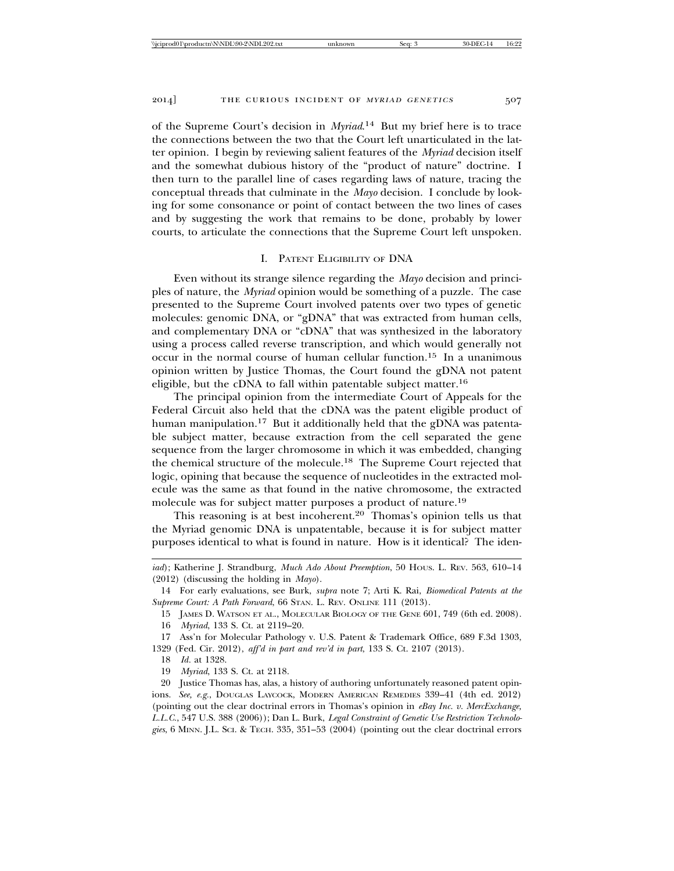of the Supreme Court's decision in *Myriad*. 14 But my brief here is to trace the connections between the two that the Court left unarticulated in the latter opinion. I begin by reviewing salient features of the *Myriad* decision itself and the somewhat dubious history of the "product of nature" doctrine. I then turn to the parallel line of cases regarding laws of nature, tracing the conceptual threads that culminate in the *Mayo* decision. I conclude by looking for some consonance or point of contact between the two lines of cases and by suggesting the work that remains to be done, probably by lower courts, to articulate the connections that the Supreme Court left unspoken.

## I. PATENT ELIGIBILITY OF DNA

Even without its strange silence regarding the *Mayo* decision and principles of nature, the *Myriad* opinion would be something of a puzzle. The case presented to the Supreme Court involved patents over two types of genetic molecules: genomic DNA, or "gDNA" that was extracted from human cells, and complementary DNA or "cDNA" that was synthesized in the laboratory using a process called reverse transcription, and which would generally not occur in the normal course of human cellular function.15 In a unanimous opinion written by Justice Thomas, the Court found the gDNA not patent eligible, but the cDNA to fall within patentable subject matter.16

The principal opinion from the intermediate Court of Appeals for the Federal Circuit also held that the cDNA was the patent eligible product of human manipulation.<sup>17</sup> But it additionally held that the gDNA was patentable subject matter, because extraction from the cell separated the gene sequence from the larger chromosome in which it was embedded, changing the chemical structure of the molecule.18 The Supreme Court rejected that logic, opining that because the sequence of nucleotides in the extracted molecule was the same as that found in the native chromosome, the extracted molecule was for subject matter purposes a product of nature.19

This reasoning is at best incoherent.<sup>20</sup> Thomas's opinion tells us that the Myriad genomic DNA is unpatentable, because it is for subject matter purposes identical to what is found in nature. How is it identical? The iden-

16 *Myriad*, 133 S. Ct. at 2119–20.

18 *Id.* at 1328.

19 *Myriad*, 133 S. Ct. at 2118.

*iad*); Katherine J. Strandburg, *Much Ado About Preemption*, 50 HOUS. L. REV. 563, 610–14 (2012) (discussing the holding in *Mayo*).

<sup>14</sup> For early evaluations, see Burk, *supra* note 7; Arti K. Rai, *Biomedical Patents at the Supreme Court: A Path Forward*, 66 STAN. L. REV. ONLINE 111 (2013).

<sup>15</sup> JAMES D. WATSON ET AL., MOLECULAR BIOLOGY OF THE GENE 601, 749 (6th ed. 2008).

<sup>17</sup> Ass'n for Molecular Pathology v. U.S. Patent & Trademark Office, 689 F.3d 1303, 1329 (Fed. Cir. 2012), *aff'd in part and rev'd in part*, 133 S. Ct. 2107 (2013).

<sup>20</sup> Justice Thomas has, alas, a history of authoring unfortunately reasoned patent opinions. *See, e.g.*, DOUGLAS LAYCOCK, MODERN AMERICAN REMEDIES 339–41 (4th ed. 2012) (pointing out the clear doctrinal errors in Thomas's opinion in *eBay Inc. v. MercExchange, L.L.C.*, 547 U.S. 388 (2006)); Dan L. Burk, *Legal Constraint of Genetic Use Restriction Technologies*, 6 MINN. J.L. SCI. & TECH. 335, 351–53 (2004) (pointing out the clear doctrinal errors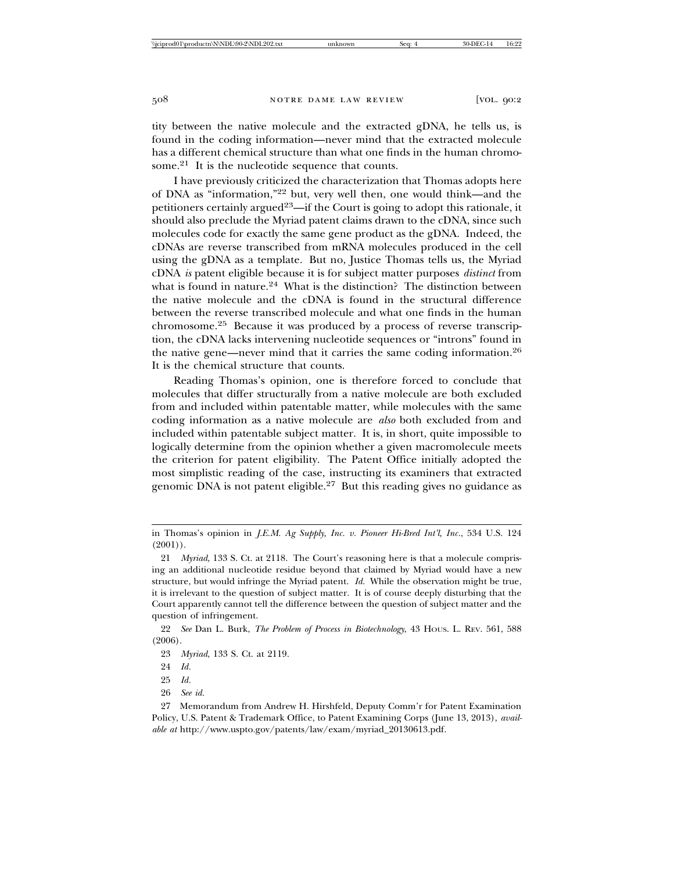tity between the native molecule and the extracted gDNA, he tells us, is found in the coding information—never mind that the extracted molecule has a different chemical structure than what one finds in the human chromosome.<sup>21</sup> It is the nucleotide sequence that counts.

I have previously criticized the characterization that Thomas adopts here of DNA as "information,"22 but, very well then, one would think—and the petitioners certainly argued<sup>23</sup>—if the Court is going to adopt this rationale, it should also preclude the Myriad patent claims drawn to the cDNA, since such molecules code for exactly the same gene product as the gDNA. Indeed, the cDNAs are reverse transcribed from mRNA molecules produced in the cell using the gDNA as a template. But no, Justice Thomas tells us, the Myriad cDNA *is* patent eligible because it is for subject matter purposes *distinct* from what is found in nature.<sup>24</sup> What is the distinction? The distinction between the native molecule and the cDNA is found in the structural difference between the reverse transcribed molecule and what one finds in the human chromosome.25 Because it was produced by a process of reverse transcription, the cDNA lacks intervening nucleotide sequences or "introns" found in the native gene—never mind that it carries the same coding information.26 It is the chemical structure that counts.

Reading Thomas's opinion, one is therefore forced to conclude that molecules that differ structurally from a native molecule are both excluded from and included within patentable matter, while molecules with the same coding information as a native molecule are *also* both excluded from and included within patentable subject matter. It is, in short, quite impossible to logically determine from the opinion whether a given macromolecule meets the criterion for patent eligibility. The Patent Office initially adopted the most simplistic reading of the case, instructing its examiners that extracted genomic DNA is not patent eligible.27 But this reading gives no guidance as

in Thomas's opinion in *J.E.M. Ag Supply, Inc. v. Pioneer Hi-Bred Int'l, Inc.*, 534 U.S. 124  $(2001)$ .

<sup>21</sup> *Myriad*, 133 S. Ct. at 2118. The Court's reasoning here is that a molecule comprising an additional nucleotide residue beyond that claimed by Myriad would have a new structure, but would infringe the Myriad patent. *Id.* While the observation might be true, it is irrelevant to the question of subject matter. It is of course deeply disturbing that the Court apparently cannot tell the difference between the question of subject matter and the question of infringement.

<sup>22</sup> *See* Dan L. Burk, *The Problem of Process in Biotechnology*, 43 HOUS. L. REV. 561, 588 (2006).

<sup>23</sup> *Myriad*, 133 S. Ct. at 2119.

<sup>24</sup> *Id.*

<sup>25</sup> *Id.*

<sup>26</sup> *See id.*

<sup>27</sup> Memorandum from Andrew H. Hirshfeld, Deputy Comm'r for Patent Examination Policy, U.S. Patent & Trademark Office, to Patent Examining Corps (June 13, 2013), *available at* http://www.uspto.gov/patents/law/exam/myriad\_20130613.pdf.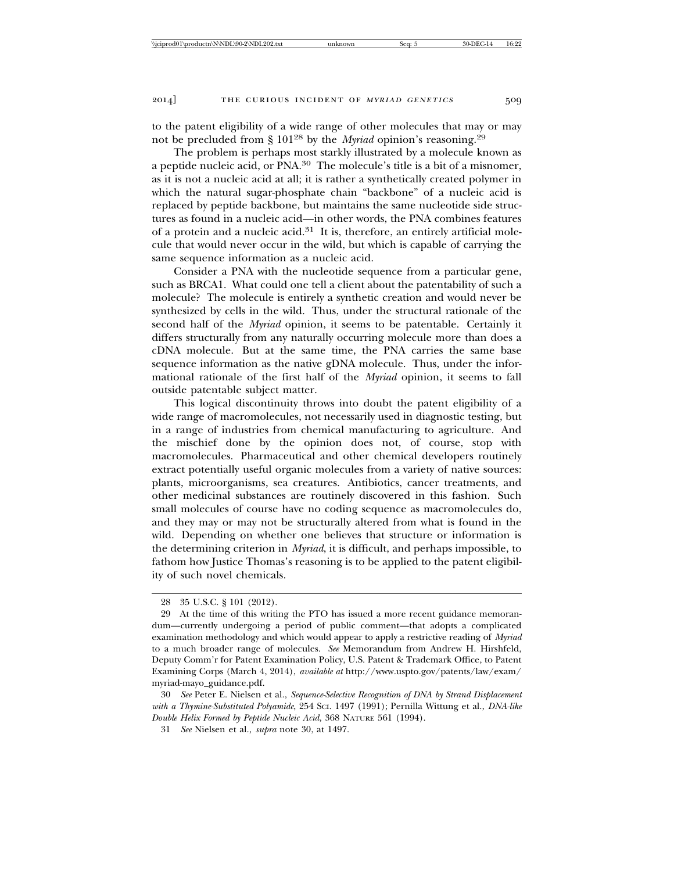to the patent eligibility of a wide range of other molecules that may or may not be precluded from § 10128 by the *Myriad* opinion's reasoning.29

The problem is perhaps most starkly illustrated by a molecule known as a peptide nucleic acid, or PNA.30 The molecule's title is a bit of a misnomer, as it is not a nucleic acid at all; it is rather a synthetically created polymer in which the natural sugar-phosphate chain "backbone" of a nucleic acid is replaced by peptide backbone, but maintains the same nucleotide side structures as found in a nucleic acid—in other words, the PNA combines features of a protein and a nucleic acid. $31$  It is, therefore, an entirely artificial molecule that would never occur in the wild, but which is capable of carrying the same sequence information as a nucleic acid.

Consider a PNA with the nucleotide sequence from a particular gene, such as BRCA1. What could one tell a client about the patentability of such a molecule? The molecule is entirely a synthetic creation and would never be synthesized by cells in the wild. Thus, under the structural rationale of the second half of the *Myriad* opinion, it seems to be patentable. Certainly it differs structurally from any naturally occurring molecule more than does a cDNA molecule. But at the same time, the PNA carries the same base sequence information as the native gDNA molecule. Thus, under the informational rationale of the first half of the *Myriad* opinion, it seems to fall outside patentable subject matter.

This logical discontinuity throws into doubt the patent eligibility of a wide range of macromolecules, not necessarily used in diagnostic testing, but in a range of industries from chemical manufacturing to agriculture. And the mischief done by the opinion does not, of course, stop with macromolecules. Pharmaceutical and other chemical developers routinely extract potentially useful organic molecules from a variety of native sources: plants, microorganisms, sea creatures. Antibiotics, cancer treatments, and other medicinal substances are routinely discovered in this fashion. Such small molecules of course have no coding sequence as macromolecules do, and they may or may not be structurally altered from what is found in the wild. Depending on whether one believes that structure or information is the determining criterion in *Myriad*, it is difficult, and perhaps impossible, to fathom how Justice Thomas's reasoning is to be applied to the patent eligibility of such novel chemicals.

<sup>28 35</sup> U.S.C. § 101 (2012).

<sup>29</sup> At the time of this writing the PTO has issued a more recent guidance memorandum—currently undergoing a period of public comment—that adopts a complicated examination methodology and which would appear to apply a restrictive reading of *Myriad* to a much broader range of molecules. *See* Memorandum from Andrew H. Hirshfeld, Deputy Comm'r for Patent Examination Policy, U.S. Patent & Trademark Office, to Patent Examining Corps (March 4, 2014), *available at* http://www.uspto.gov/patents/law/exam/ myriad-mayo\_guidance.pdf.

<sup>30</sup> *See* Peter E. Nielsen et al., *Sequence-Selective Recognition of DNA by Strand Displacement with a Thymine-Substituted Polyamide*, 254 SCI. 1497 (1991); Pernilla Wittung et al., *DNA-like Double Helix Formed by Peptide Nucleic Acid*, 368 NATURE 561 (1994).

<sup>31</sup> *See* Nielsen et al., *supra* note 30, at 1497.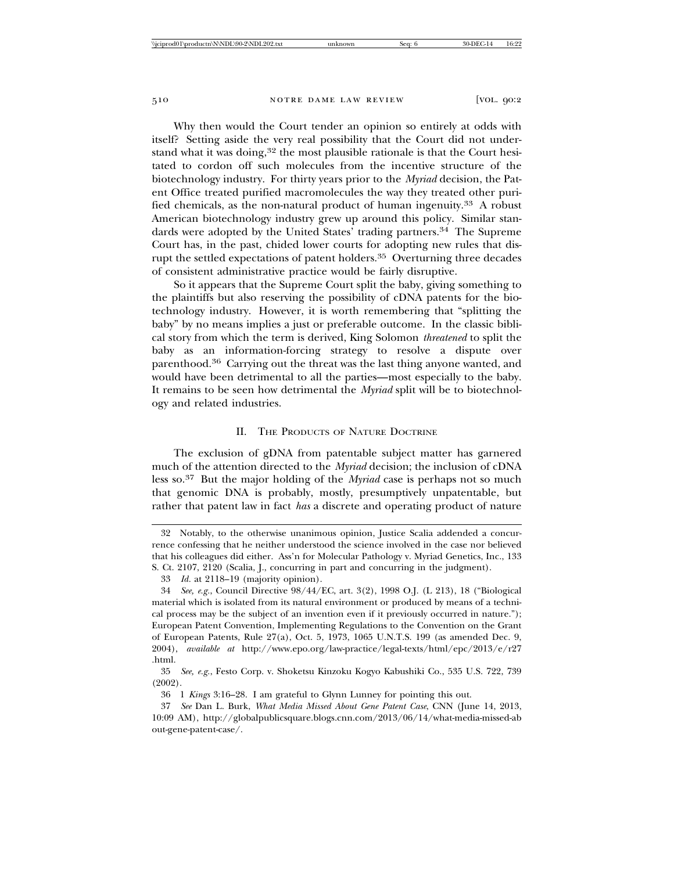Why then would the Court tender an opinion so entirely at odds with itself? Setting aside the very real possibility that the Court did not understand what it was doing, $32$  the most plausible rationale is that the Court hesitated to cordon off such molecules from the incentive structure of the biotechnology industry. For thirty years prior to the *Myriad* decision, the Patent Office treated purified macromolecules the way they treated other purified chemicals, as the non-natural product of human ingenuity.33 A robust American biotechnology industry grew up around this policy. Similar standards were adopted by the United States' trading partners.<sup>34</sup> The Supreme Court has, in the past, chided lower courts for adopting new rules that disrupt the settled expectations of patent holders.35 Overturning three decades of consistent administrative practice would be fairly disruptive.

So it appears that the Supreme Court split the baby, giving something to the plaintiffs but also reserving the possibility of cDNA patents for the biotechnology industry. However, it is worth remembering that "splitting the baby" by no means implies a just or preferable outcome. In the classic biblical story from which the term is derived, King Solomon *threatened* to split the baby as an information-forcing strategy to resolve a dispute over parenthood.36 Carrying out the threat was the last thing anyone wanted, and would have been detrimental to all the parties—most especially to the baby. It remains to be seen how detrimental the *Myriad* split will be to biotechnology and related industries.

#### II. THE PRODUCTS OF NATURE DOCTRINE

The exclusion of gDNA from patentable subject matter has garnered much of the attention directed to the *Myriad* decision; the inclusion of cDNA less so.37 But the major holding of the *Myriad* case is perhaps not so much that genomic DNA is probably, mostly, presumptively unpatentable, but rather that patent law in fact *has* a discrete and operating product of nature

<sup>32</sup> Notably, to the otherwise unanimous opinion, Justice Scalia addended a concurrence confessing that he neither understood the science involved in the case nor believed that his colleagues did either. Ass'n for Molecular Pathology v. Myriad Genetics, Inc., 133 S. Ct. 2107, 2120 (Scalia, J., concurring in part and concurring in the judgment).

<sup>33</sup> *Id.* at 2118–19 (majority opinion).

<sup>34</sup> *See, e.g.*, Council Directive 98/44/EC, art. 3(2), 1998 O.J. (L 213), 18 ("Biological material which is isolated from its natural environment or produced by means of a technical process may be the subject of an invention even if it previously occurred in nature."); European Patent Convention, Implementing Regulations to the Convention on the Grant of European Patents, Rule 27(a), Oct. 5, 1973, 1065 U.N.T.S. 199 (as amended Dec. 9, 2004), *available at* http://www.epo.org/law-practice/legal-texts/html/epc/2013/e/r27 .html.

<sup>35</sup> *See, e.g.*, Festo Corp. v. Shoketsu Kinzoku Kogyo Kabushiki Co., 535 U.S. 722, 739 (2002).

<sup>36 1</sup> *Kings* 3:16–28. I am grateful to Glynn Lunney for pointing this out.

<sup>37</sup> *See* Dan L. Burk, *What Media Missed About Gene Patent Case*, CNN (June 14, 2013, 10:09 AM), http://globalpublicsquare.blogs.cnn.com/2013/06/14/what-media-missed-ab out-gene-patent-case/.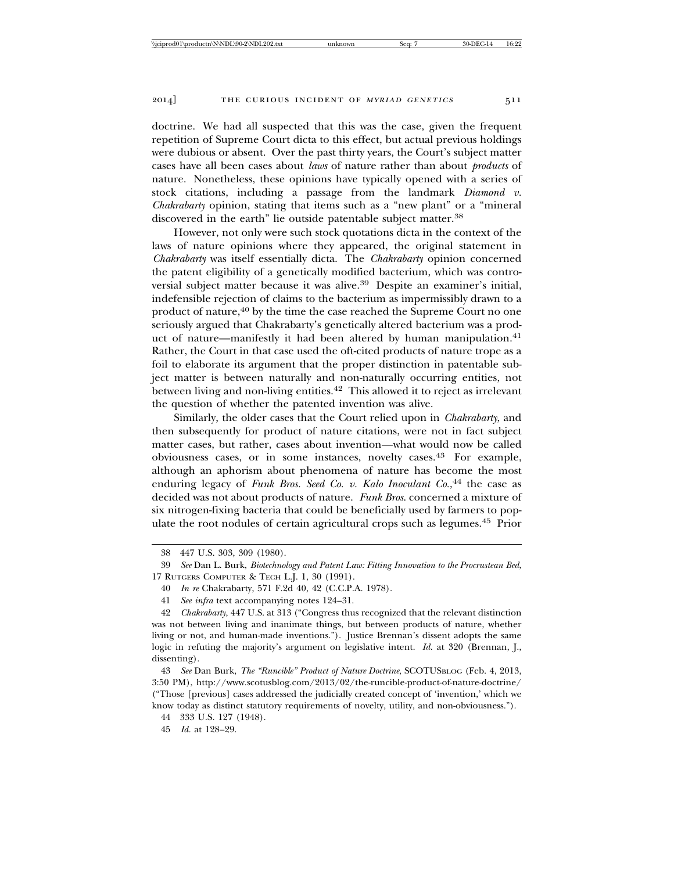doctrine. We had all suspected that this was the case, given the frequent repetition of Supreme Court dicta to this effect, but actual previous holdings were dubious or absent. Over the past thirty years, the Court's subject matter cases have all been cases about *laws* of nature rather than about *products* of nature. Nonetheless, these opinions have typically opened with a series of stock citations, including a passage from the landmark *Diamond v. Chakrabarty* opinion, stating that items such as a "new plant" or a "mineral discovered in the earth" lie outside patentable subject matter.38

However, not only were such stock quotations dicta in the context of the laws of nature opinions where they appeared, the original statement in *Chakrabarty* was itself essentially dicta. The *Chakrabarty* opinion concerned the patent eligibility of a genetically modified bacterium, which was controversial subject matter because it was alive.39 Despite an examiner's initial, indefensible rejection of claims to the bacterium as impermissibly drawn to a product of nature,<sup>40</sup> by the time the case reached the Supreme Court no one seriously argued that Chakrabarty's genetically altered bacterium was a product of nature—manifestly it had been altered by human manipulation.<sup>41</sup> Rather, the Court in that case used the oft-cited products of nature trope as a foil to elaborate its argument that the proper distinction in patentable subject matter is between naturally and non-naturally occurring entities, not between living and non-living entities.<sup>42</sup> This allowed it to reject as irrelevant the question of whether the patented invention was alive.

Similarly, the older cases that the Court relied upon in *Chakrabarty*, and then subsequently for product of nature citations, were not in fact subject matter cases, but rather, cases about invention—what would now be called obviousness cases, or in some instances, novelty cases.43 For example, although an aphorism about phenomena of nature has become the most enduring legacy of *Funk Bros. Seed Co. v. Kalo Inoculant Co.*, 44 the case as decided was not about products of nature. *Funk Bros*. concerned a mixture of six nitrogen-fixing bacteria that could be beneficially used by farmers to populate the root nodules of certain agricultural crops such as legumes.45 Prior

- 40 *In re* Chakrabarty, 571 F.2d 40, 42 (C.C.P.A. 1978).
- 41 *See infra* text accompanying notes 124–31.

42 *Chakrabarty*, 447 U.S. at 313 ("Congress thus recognized that the relevant distinction was not between living and inanimate things, but between products of nature, whether living or not, and human-made inventions."). Justice Brennan's dissent adopts the same logic in refuting the majority's argument on legislative intent. *Id.* at 320 (Brennan, J., dissenting).

43 *See* Dan Burk, *The "Runcible" Product of Nature Doctrine*, SCOTUSBLOG (Feb. 4, 2013, 3:50 PM), http://www.scotusblog.com/2013/02/the-runcible-product-of-nature-doctrine/ ("Those [previous] cases addressed the judicially created concept of 'invention,' which we know today as distinct statutory requirements of novelty, utility, and non-obviousness.").

44 333 U.S. 127 (1948).

45 *Id.* at 128–29.

<sup>38 447</sup> U.S. 303, 309 (1980).

<sup>39</sup> *See* Dan L. Burk, *Biotechnology and Patent Law: Fitting Innovation to the Procrustean Bed*, 17 RUTGERS COMPUTER & TECH L.J. 1, 30 (1991).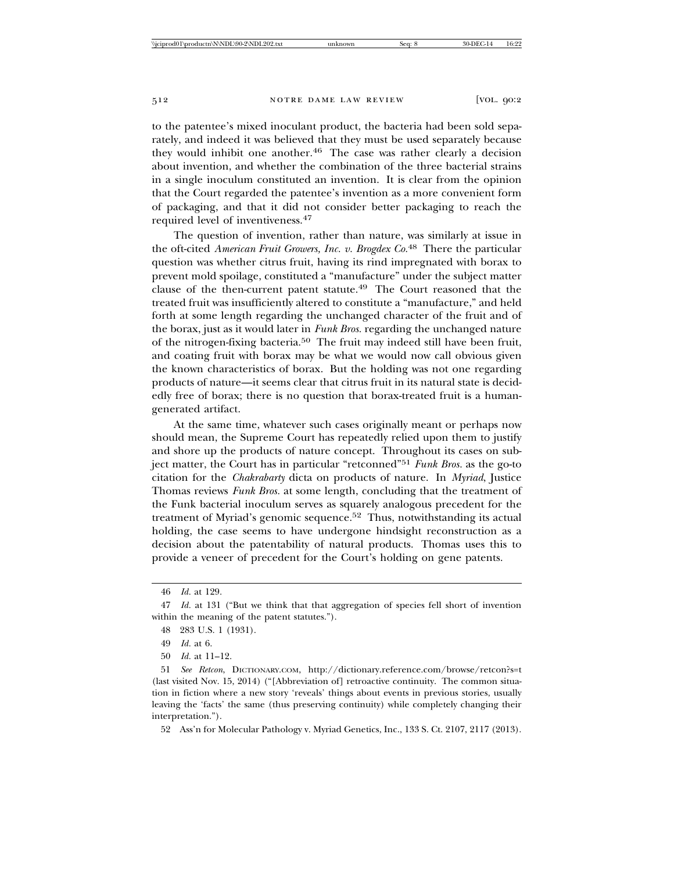to the patentee's mixed inoculant product, the bacteria had been sold separately, and indeed it was believed that they must be used separately because they would inhibit one another.<sup>46</sup> The case was rather clearly a decision about invention, and whether the combination of the three bacterial strains in a single inoculum constituted an invention. It is clear from the opinion that the Court regarded the patentee's invention as a more convenient form of packaging, and that it did not consider better packaging to reach the required level of inventiveness.47

The question of invention, rather than nature, was similarly at issue in the oft-cited *American Fruit Growers, Inc. v. Brogdex Co.*48 There the particular question was whether citrus fruit, having its rind impregnated with borax to prevent mold spoilage, constituted a "manufacture" under the subject matter clause of the then-current patent statute.49 The Court reasoned that the treated fruit was insufficiently altered to constitute a "manufacture," and held forth at some length regarding the unchanged character of the fruit and of the borax, just as it would later in *Funk Bros.* regarding the unchanged nature of the nitrogen-fixing bacteria.50 The fruit may indeed still have been fruit, and coating fruit with borax may be what we would now call obvious given the known characteristics of borax. But the holding was not one regarding products of nature—it seems clear that citrus fruit in its natural state is decidedly free of borax; there is no question that borax-treated fruit is a humangenerated artifact.

At the same time, whatever such cases originally meant or perhaps now should mean, the Supreme Court has repeatedly relied upon them to justify and shore up the products of nature concept. Throughout its cases on subject matter, the Court has in particular "retconned"51 *Funk Bros.* as the go-to citation for the *Chakrabarty* dicta on products of nature. In *Myriad*, Justice Thomas reviews *Funk Bros.* at some length, concluding that the treatment of the Funk bacterial inoculum serves as squarely analogous precedent for the treatment of Myriad's genomic sequence.52 Thus, notwithstanding its actual holding, the case seems to have undergone hindsight reconstruction as a decision about the patentability of natural products. Thomas uses this to provide a veneer of precedent for the Court's holding on gene patents.

<sup>46</sup> *Id.* at 129.

<sup>47</sup> *Id.* at 131 ("But we think that that aggregation of species fell short of invention within the meaning of the patent statutes.").

<sup>48 283</sup> U.S. 1 (1931).

<sup>49</sup> *Id.* at 6.

<sup>50</sup> *Id.* at 11–12.

<sup>51</sup> *See Retcon*, DICTIONARY.COM, http://dictionary.reference.com/browse/retcon?s=t (last visited Nov. 15, 2014) ("[Abbreviation of] retroactive continuity. The common situation in fiction where a new story 'reveals' things about events in previous stories, usually leaving the 'facts' the same (thus preserving continuity) while completely changing their interpretation.").

<sup>52</sup> Ass'n for Molecular Pathology v. Myriad Genetics, Inc., 133 S. Ct. 2107, 2117 (2013).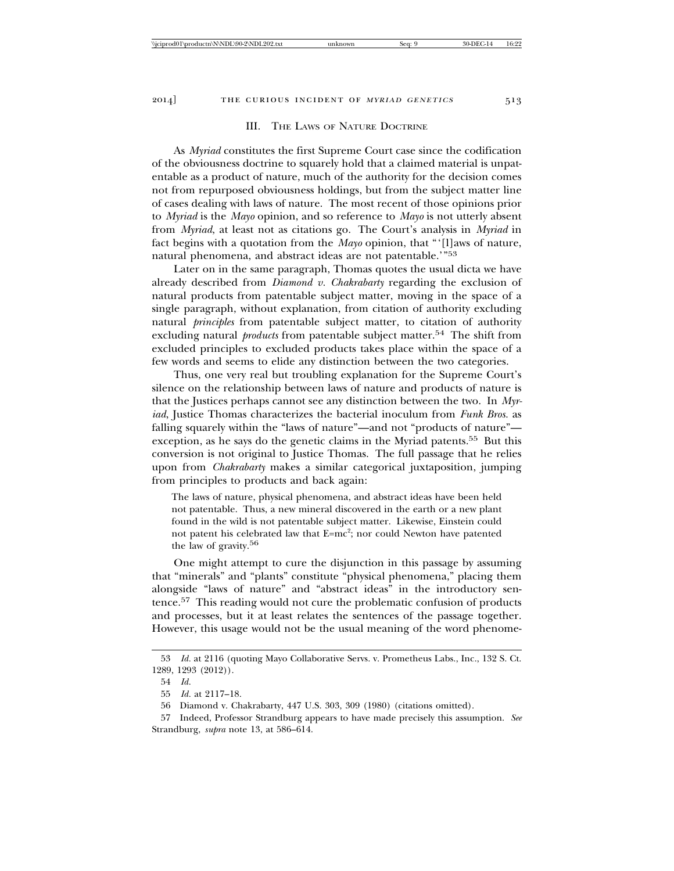#### III. THE LAWS OF NATURE DOCTRINE

As *Myriad* constitutes the first Supreme Court case since the codification of the obviousness doctrine to squarely hold that a claimed material is unpatentable as a product of nature, much of the authority for the decision comes not from repurposed obviousness holdings, but from the subject matter line of cases dealing with laws of nature. The most recent of those opinions prior to *Myriad* is the *Mayo* opinion, and so reference to *Mayo* is not utterly absent from *Myriad*, at least not as citations go. The Court's analysis in *Myriad* in fact begins with a quotation from the *Mayo* opinion, that "'[l]aws of nature, natural phenomena, and abstract ideas are not patentable.'"53

Later on in the same paragraph, Thomas quotes the usual dicta we have already described from *Diamond v. Chakrabarty* regarding the exclusion of natural products from patentable subject matter, moving in the space of a single paragraph, without explanation, from citation of authority excluding natural *principles* from patentable subject matter, to citation of authority excluding natural *products* from patentable subject matter.54 The shift from excluded principles to excluded products takes place within the space of a few words and seems to elide any distinction between the two categories.

Thus, one very real but troubling explanation for the Supreme Court's silence on the relationship between laws of nature and products of nature is that the Justices perhaps cannot see any distinction between the two. In *Myriad*, Justice Thomas characterizes the bacterial inoculum from *Funk Bros.* as falling squarely within the "laws of nature"—and not "products of nature" exception, as he says do the genetic claims in the Myriad patents.<sup>55</sup> But this conversion is not original to Justice Thomas. The full passage that he relies upon from *Chakrabarty* makes a similar categorical juxtaposition, jumping from principles to products and back again:

The laws of nature, physical phenomena, and abstract ideas have been held not patentable. Thus, a new mineral discovered in the earth or a new plant found in the wild is not patentable subject matter. Likewise, Einstein could not patent his celebrated law that E=mc²; nor could Newton have patented the law of gravity.56

One might attempt to cure the disjunction in this passage by assuming that "minerals" and "plants" constitute "physical phenomena," placing them alongside "laws of nature" and "abstract ideas" in the introductory sentence.57 This reading would not cure the problematic confusion of products and processes, but it at least relates the sentences of the passage together. However, this usage would not be the usual meaning of the word phenome-

<sup>53</sup> *Id.* at 2116 (quoting Mayo Collaborative Servs. v. Prometheus Labs., Inc., 132 S. Ct. 1289, 1293 (2012)).

<sup>54</sup> *Id.*

<sup>55</sup> *Id.* at 2117–18.

<sup>56</sup> Diamond v. Chakrabarty, 447 U.S. 303, 309 (1980) (citations omitted).

<sup>57</sup> Indeed, Professor Strandburg appears to have made precisely this assumption. *See* Strandburg, *supra* note 13, at 586–614.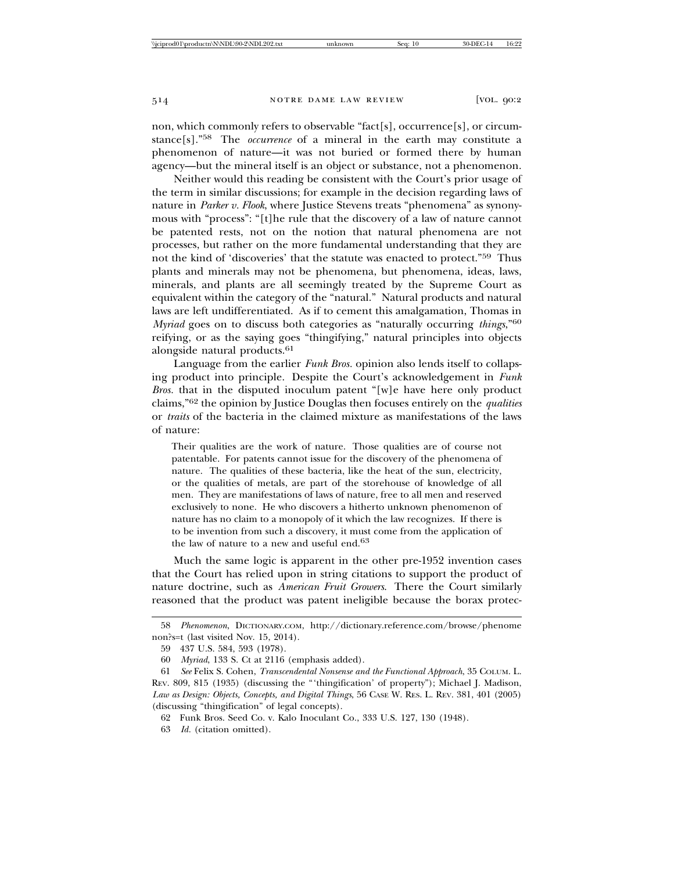non, which commonly refers to observable "fact[s], occurrence[s], or circumstance[s]."58 The *occurrence* of a mineral in the earth may constitute a phenomenon of nature—it was not buried or formed there by human agency—but the mineral itself is an object or substance, not a phenomenon.

Neither would this reading be consistent with the Court's prior usage of the term in similar discussions; for example in the decision regarding laws of nature in *Parker v. Flook*, where Justice Stevens treats "phenomena" as synonymous with "process": "[t]he rule that the discovery of a law of nature cannot be patented rests, not on the notion that natural phenomena are not processes, but rather on the more fundamental understanding that they are not the kind of 'discoveries' that the statute was enacted to protect."59 Thus plants and minerals may not be phenomena, but phenomena, ideas, laws, minerals, and plants are all seemingly treated by the Supreme Court as equivalent within the category of the "natural." Natural products and natural laws are left undifferentiated. As if to cement this amalgamation, Thomas in *Myriad* goes on to discuss both categories as "naturally occurring *things*,"60 reifying, or as the saying goes "thingifying," natural principles into objects alongside natural products.<sup>61</sup>

Language from the earlier *Funk Bros.* opinion also lends itself to collapsing product into principle. Despite the Court's acknowledgement in *Funk Bros.* that in the disputed inoculum patent "[w]e have here only product claims,"62 the opinion by Justice Douglas then focuses entirely on the *qualities* or *traits* of the bacteria in the claimed mixture as manifestations of the laws of nature:

Their qualities are the work of nature. Those qualities are of course not patentable. For patents cannot issue for the discovery of the phenomena of nature. The qualities of these bacteria, like the heat of the sun, electricity, or the qualities of metals, are part of the storehouse of knowledge of all men. They are manifestations of laws of nature, free to all men and reserved exclusively to none. He who discovers a hitherto unknown phenomenon of nature has no claim to a monopoly of it which the law recognizes. If there is to be invention from such a discovery, it must come from the application of the law of nature to a new and useful end.<sup>63</sup>

Much the same logic is apparent in the other pre-1952 invention cases that the Court has relied upon in string citations to support the product of nature doctrine, such as *American Fruit Growers*. There the Court similarly reasoned that the product was patent ineligible because the borax protec-

<sup>58</sup> *Phenomenon*, DICTIONARY.COM, http://dictionary.reference.com/browse/phenome non?s=t (last visited Nov. 15, 2014).

<sup>59 437</sup> U.S. 584, 593 (1978).

<sup>60</sup> *Myriad*, 133 S. Ct at 2116 (emphasis added).

<sup>61</sup> *See* Felix S. Cohen, *Transcendental Nonsense and the Functional Approach*, 35 COLUM. L. REV. 809, 815 (1935) (discussing the "'thingification' of property"); Michael J. Madison, *Law as Design: Objects, Concepts, and Digital Things*, 56 CASE W. RES. L. REV. 381, 401 (2005) (discussing "thingification" of legal concepts).

<sup>62</sup> Funk Bros. Seed Co. v. Kalo Inoculant Co., 333 U.S. 127, 130 (1948).

<sup>63</sup> *Id.* (citation omitted).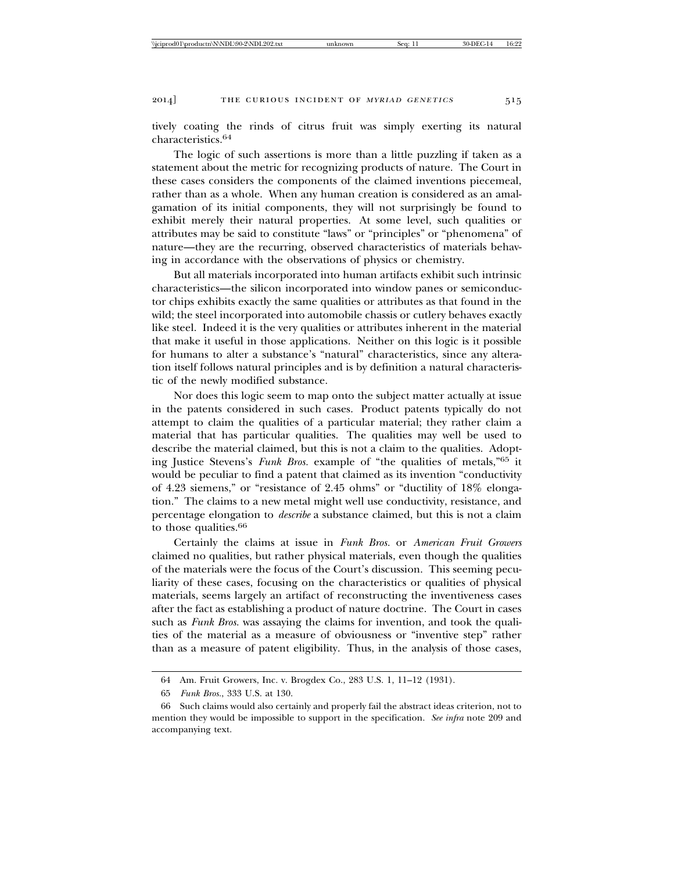tively coating the rinds of citrus fruit was simply exerting its natural characteristics.<sup>64</sup>

The logic of such assertions is more than a little puzzling if taken as a statement about the metric for recognizing products of nature. The Court in these cases considers the components of the claimed inventions piecemeal, rather than as a whole. When any human creation is considered as an amalgamation of its initial components, they will not surprisingly be found to exhibit merely their natural properties. At some level, such qualities or attributes may be said to constitute "laws" or "principles" or "phenomena" of nature—they are the recurring, observed characteristics of materials behaving in accordance with the observations of physics or chemistry.

But all materials incorporated into human artifacts exhibit such intrinsic characteristics—the silicon incorporated into window panes or semiconductor chips exhibits exactly the same qualities or attributes as that found in the wild; the steel incorporated into automobile chassis or cutlery behaves exactly like steel. Indeed it is the very qualities or attributes inherent in the material that make it useful in those applications. Neither on this logic is it possible for humans to alter a substance's "natural" characteristics, since any alteration itself follows natural principles and is by definition a natural characteristic of the newly modified substance.

Nor does this logic seem to map onto the subject matter actually at issue in the patents considered in such cases. Product patents typically do not attempt to claim the qualities of a particular material; they rather claim a material that has particular qualities. The qualities may well be used to describe the material claimed, but this is not a claim to the qualities. Adopting Justice Stevens's *Funk Bros.* example of "the qualities of metals,"65 it would be peculiar to find a patent that claimed as its invention "conductivity of 4.23 siemens," or "resistance of 2.45 ohms" or "ductility of 18% elongation." The claims to a new metal might well use conductivity, resistance, and percentage elongation to *describe* a substance claimed, but this is not a claim to those qualities.<sup>66</sup>

Certainly the claims at issue in *Funk Bros.* or *American Fruit Growers* claimed no qualities, but rather physical materials, even though the qualities of the materials were the focus of the Court's discussion. This seeming peculiarity of these cases, focusing on the characteristics or qualities of physical materials, seems largely an artifact of reconstructing the inventiveness cases after the fact as establishing a product of nature doctrine. The Court in cases such as *Funk Bros.* was assaying the claims for invention, and took the qualities of the material as a measure of obviousness or "inventive step" rather than as a measure of patent eligibility. Thus, in the analysis of those cases,

<sup>64</sup> Am. Fruit Growers, Inc. v. Brogdex Co., 283 U.S. 1, 11–12 (1931).

<sup>65</sup> *Funk Bros.*, 333 U.S. at 130.

<sup>66</sup> Such claims would also certainly and properly fail the abstract ideas criterion, not to mention they would be impossible to support in the specification. *See infra* note 209 and accompanying text.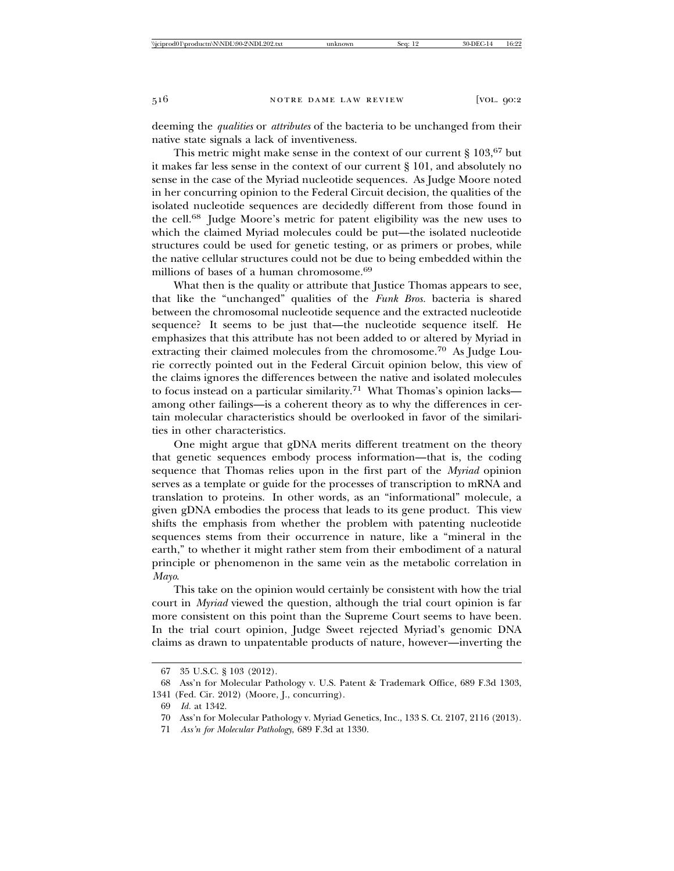deeming the *qualities* or *attributes* of the bacteria to be unchanged from their native state signals a lack of inventiveness.

This metric might make sense in the context of our current  $\S 103,67$  but it makes far less sense in the context of our current § 101, and absolutely no sense in the case of the Myriad nucleotide sequences. As Judge Moore noted in her concurring opinion to the Federal Circuit decision, the qualities of the isolated nucleotide sequences are decidedly different from those found in the cell.68 Judge Moore's metric for patent eligibility was the new uses to which the claimed Myriad molecules could be put—the isolated nucleotide structures could be used for genetic testing, or as primers or probes, while the native cellular structures could not be due to being embedded within the millions of bases of a human chromosome.<sup>69</sup>

What then is the quality or attribute that Justice Thomas appears to see, that like the "unchanged" qualities of the *Funk Bros.* bacteria is shared between the chromosomal nucleotide sequence and the extracted nucleotide sequence? It seems to be just that—the nucleotide sequence itself. He emphasizes that this attribute has not been added to or altered by Myriad in extracting their claimed molecules from the chromosome.70 As Judge Lourie correctly pointed out in the Federal Circuit opinion below, this view of the claims ignores the differences between the native and isolated molecules to focus instead on a particular similarity.71 What Thomas's opinion lacks among other failings—is a coherent theory as to why the differences in certain molecular characteristics should be overlooked in favor of the similarities in other characteristics.

One might argue that gDNA merits different treatment on the theory that genetic sequences embody process information—that is, the coding sequence that Thomas relies upon in the first part of the *Myriad* opinion serves as a template or guide for the processes of transcription to mRNA and translation to proteins. In other words, as an "informational" molecule, a given gDNA embodies the process that leads to its gene product. This view shifts the emphasis from whether the problem with patenting nucleotide sequences stems from their occurrence in nature, like a "mineral in the earth," to whether it might rather stem from their embodiment of a natural principle or phenomenon in the same vein as the metabolic correlation in *Mayo*.

This take on the opinion would certainly be consistent with how the trial court in *Myriad* viewed the question, although the trial court opinion is far more consistent on this point than the Supreme Court seems to have been. In the trial court opinion, Judge Sweet rejected Myriad's genomic DNA claims as drawn to unpatentable products of nature, however—inverting the

<sup>67 35</sup> U.S.C. § 103 (2012).

<sup>68</sup> Ass'n for Molecular Pathology v. U.S. Patent & Trademark Office, 689 F.3d 1303, 1341 (Fed. Cir. 2012) (Moore, J., concurring).

<sup>69</sup> *Id.* at 1342.

<sup>70</sup> Ass'n for Molecular Pathology v. Myriad Genetics, Inc., 133 S. Ct. 2107, 2116 (2013).

<sup>71</sup> *Ass'n for Molecular Pathology*, 689 F.3d at 1330.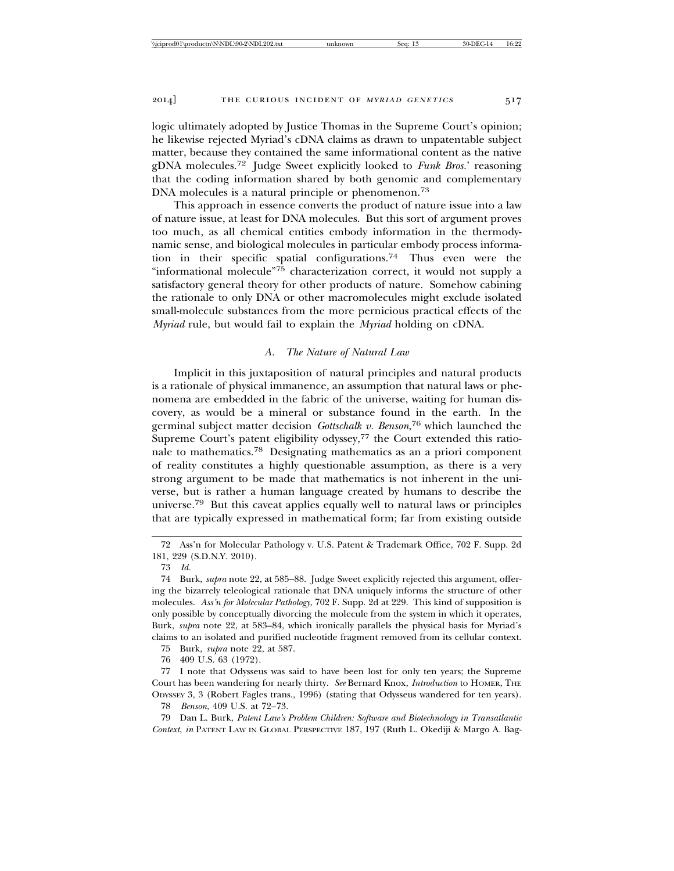logic ultimately adopted by Justice Thomas in the Supreme Court's opinion; he likewise rejected Myriad's cDNA claims as drawn to unpatentable subject matter, because they contained the same informational content as the native gDNA molecules.72 Judge Sweet explicitly looked to *Funk Bros.*' reasoning that the coding information shared by both genomic and complementary DNA molecules is a natural principle or phenomenon.<sup>73</sup>

This approach in essence converts the product of nature issue into a law of nature issue, at least for DNA molecules. But this sort of argument proves too much, as all chemical entities embody information in the thermodynamic sense, and biological molecules in particular embody process information in their specific spatial configurations.74 Thus even were the "informational molecule"75 characterization correct, it would not supply a satisfactory general theory for other products of nature. Somehow cabining the rationale to only DNA or other macromolecules might exclude isolated small-molecule substances from the more pernicious practical effects of the *Myriad* rule, but would fail to explain the *Myriad* holding on cDNA.

## *A. The Nature of Natural Law*

Implicit in this juxtaposition of natural principles and natural products is a rationale of physical immanence, an assumption that natural laws or phenomena are embedded in the fabric of the universe, waiting for human discovery, as would be a mineral or substance found in the earth. In the germinal subject matter decision *Gottschalk v. Benson*, 76 which launched the Supreme Court's patent eligibility odyssey,<sup>77</sup> the Court extended this rationale to mathematics.78 Designating mathematics as an a priori component of reality constitutes a highly questionable assumption, as there is a very strong argument to be made that mathematics is not inherent in the universe, but is rather a human language created by humans to describe the universe.79 But this caveat applies equally well to natural laws or principles that are typically expressed in mathematical form; far from existing outside

75 Burk, *supra* note 22, at 587.

76 409 U.S. 63 (1972).

77 I note that Odysseus was said to have been lost for only ten years; the Supreme Court has been wandering for nearly thirty. *See* Bernard Knox, *Introduction* to HOMER, THE ODYSSEY 3, 3 (Robert Fagles trans., 1996) (stating that Odysseus wandered for ten years).

78 *Benson*, 409 U.S. at 72–73.

79 Dan L. Burk, *Patent Law's Problem Children: Software and Biotechnology in Transatlantic Context*, *in* PATENT LAW IN GLOBAL PERSPECTIVE 187, 197 (Ruth L. Okediji & Margo A. Bag-

<sup>72</sup> Ass'n for Molecular Pathology v. U.S. Patent & Trademark Office, 702 F. Supp. 2d 181, 229 (S.D.N.Y. 2010).

<sup>73</sup> *Id.*

<sup>74</sup> Burk, *supra* note 22, at 585–88. Judge Sweet explicitly rejected this argument, offering the bizarrely teleological rationale that DNA uniquely informs the structure of other molecules. *Ass'n for Molecular Pathology*, 702 F. Supp. 2d at 229. This kind of supposition is only possible by conceptually divorcing the molecule from the system in which it operates, Burk, *supra* note 22, at 583–84, which ironically parallels the physical basis for Myriad's claims to an isolated and purified nucleotide fragment removed from its cellular context.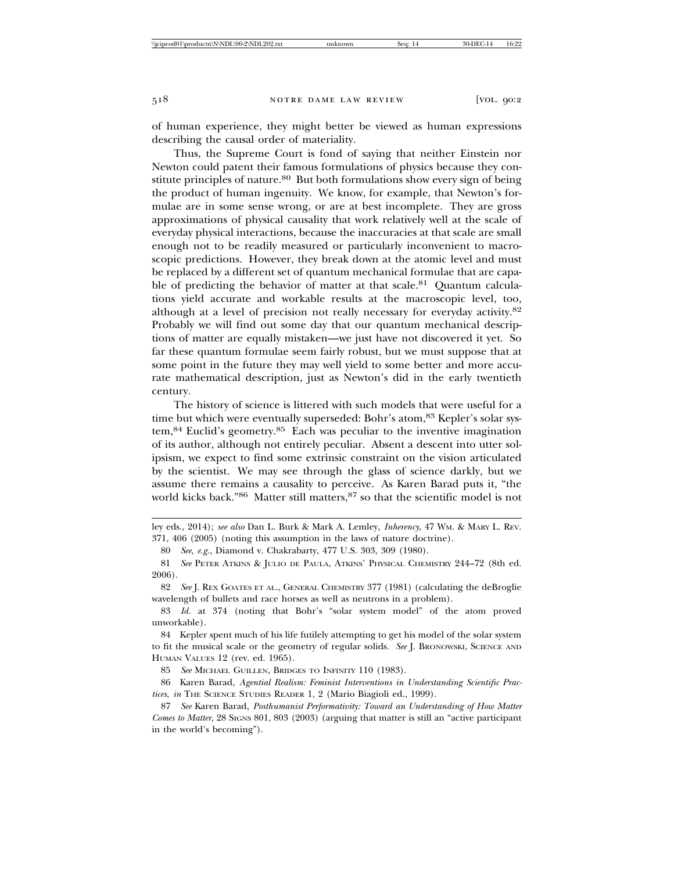of human experience, they might better be viewed as human expressions describing the causal order of materiality.

Thus, the Supreme Court is fond of saying that neither Einstein nor Newton could patent their famous formulations of physics because they constitute principles of nature.<sup>80</sup> But both formulations show every sign of being the product of human ingenuity. We know, for example, that Newton's formulae are in some sense wrong, or are at best incomplete. They are gross approximations of physical causality that work relatively well at the scale of everyday physical interactions, because the inaccuracies at that scale are small enough not to be readily measured or particularly inconvenient to macroscopic predictions. However, they break down at the atomic level and must be replaced by a different set of quantum mechanical formulae that are capable of predicting the behavior of matter at that scale.<sup>81</sup> Quantum calculations yield accurate and workable results at the macroscopic level, too, although at a level of precision not really necessary for everyday activity.82 Probably we will find out some day that our quantum mechanical descriptions of matter are equally mistaken—we just have not discovered it yet. So far these quantum formulae seem fairly robust, but we must suppose that at some point in the future they may well yield to some better and more accurate mathematical description, just as Newton's did in the early twentieth century.

The history of science is littered with such models that were useful for a time but which were eventually superseded: Bohr's atom, 83 Kepler's solar system,84 Euclid's geometry.85 Each was peculiar to the inventive imagination of its author, although not entirely peculiar. Absent a descent into utter solipsism, we expect to find some extrinsic constraint on the vision articulated by the scientist. We may see through the glass of science darkly, but we assume there remains a causality to perceive. As Karen Barad puts it, "the world kicks back."86 Matter still matters, 87 so that the scientific model is not

ley eds., 2014); *see also* Dan L. Burk & Mark A. Lemley, *Inherency*, 47 WM. & MARY L. REV. 371, 406 (2005) (noting this assumption in the laws of nature doctrine).

80 *See, e.g.*, Diamond v. Chakrabarty, 477 U.S. 303, 309 (1980).

81 *See* PETER ATKINS & JULIO DE PAULA, ATKINS' PHYSICAL CHEMISTRY 244–72 (8th ed. 2006).

82 *See* J. REX GOATES ET AL., GENERAL CHEMISTRY 377 (1981) (calculating the deBroglie wavelength of bullets and race horses as well as neutrons in a problem).

83 *Id.* at 374 (noting that Bohr's "solar system model" of the atom proved unworkable).

84 Kepler spent much of his life futilely attempting to get his model of the solar system to fit the musical scale or the geometry of regular solids. *See* J. BRONOWSKI, SCIENCE AND HUMAN VALUES 12 (rev. ed. 1965).

85 *See* MICHAEL GUILLEN, BRIDGES TO INFINITY 110 (1983).

86 Karen Barad, *Agential Realism: Feminist Interventions in Understanding Scientific Practices*, *in* THE SCIENCE STUDIES READER 1, 2 (Mario Biagioli ed., 1999).

87 *See* Karen Barad, *Posthumanist Performativity: Toward an Understanding of How Matter Comes to Matter*, 28 SIGNS 801, 803 (2003) (arguing that matter is still an "active participant in the world's becoming").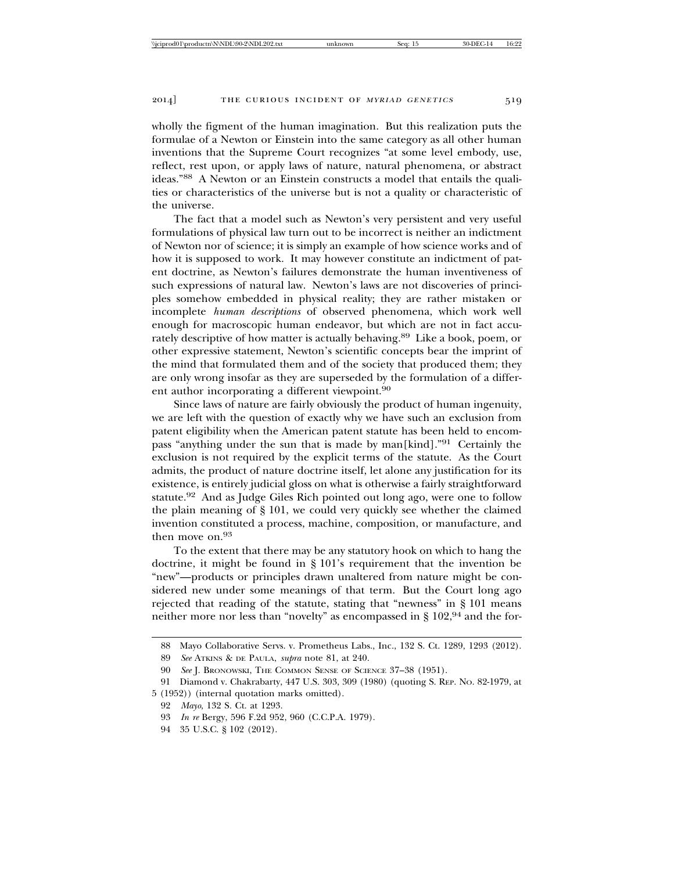wholly the figment of the human imagination. But this realization puts the formulae of a Newton or Einstein into the same category as all other human inventions that the Supreme Court recognizes "at some level embody, use, reflect, rest upon, or apply laws of nature, natural phenomena, or abstract ideas."88 A Newton or an Einstein constructs a model that entails the qualities or characteristics of the universe but is not a quality or characteristic of the universe.

The fact that a model such as Newton's very persistent and very useful formulations of physical law turn out to be incorrect is neither an indictment of Newton nor of science; it is simply an example of how science works and of how it is supposed to work. It may however constitute an indictment of patent doctrine, as Newton's failures demonstrate the human inventiveness of such expressions of natural law. Newton's laws are not discoveries of principles somehow embedded in physical reality; they are rather mistaken or incomplete *human descriptions* of observed phenomena, which work well enough for macroscopic human endeavor, but which are not in fact accurately descriptive of how matter is actually behaving.89 Like a book, poem, or other expressive statement, Newton's scientific concepts bear the imprint of the mind that formulated them and of the society that produced them; they are only wrong insofar as they are superseded by the formulation of a different author incorporating a different viewpoint.<sup>90</sup>

Since laws of nature are fairly obviously the product of human ingenuity, we are left with the question of exactly why we have such an exclusion from patent eligibility when the American patent statute has been held to encompass "anything under the sun that is made by man[kind]."91 Certainly the exclusion is not required by the explicit terms of the statute. As the Court admits, the product of nature doctrine itself, let alone any justification for its existence, is entirely judicial gloss on what is otherwise a fairly straightforward statute.92 And as Judge Giles Rich pointed out long ago, were one to follow the plain meaning of § 101, we could very quickly see whether the claimed invention constituted a process, machine, composition, or manufacture, and then move on.93

To the extent that there may be any statutory hook on which to hang the doctrine, it might be found in § 101's requirement that the invention be "new"—products or principles drawn unaltered from nature might be considered new under some meanings of that term. But the Court long ago rejected that reading of the statute, stating that "newness" in § 101 means neither more nor less than "novelty" as encompassed in § 102,94 and the for-

<sup>88</sup> Mayo Collaborative Servs. v. Prometheus Labs., Inc., 132 S. Ct. 1289, 1293 (2012).

<sup>89</sup> *See* ATKINS & DE PAULA, *supra* note 81, at 240.

<sup>90</sup> *See* J. BRONOWSKI, THE COMMON SENSE OF SCIENCE 37–38 (1951).

<sup>91</sup> Diamond v. Chakrabarty, 447 U.S. 303, 309 (1980) (quoting S. REP. NO. 82-1979, at

<sup>5 (1952)) (</sup>internal quotation marks omitted).

<sup>92</sup> *Mayo*, 132 S. Ct. at 1293.

<sup>93</sup> *In re* Bergy, 596 F.2d 952, 960 (C.C.P.A. 1979).

<sup>94 35</sup> U.S.C. § 102 (2012).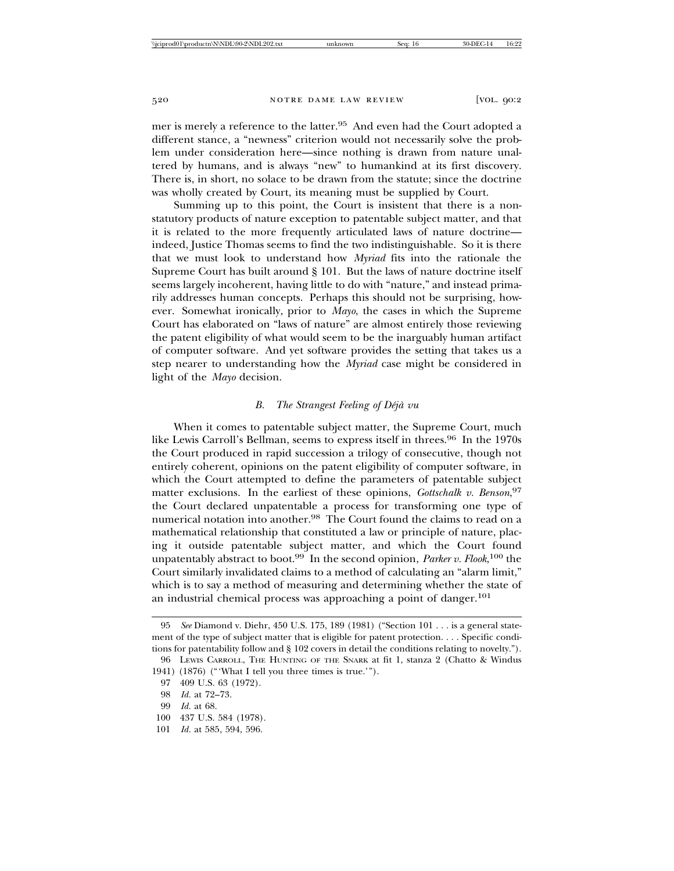mer is merely a reference to the latter.95 And even had the Court adopted a different stance, a "newness" criterion would not necessarily solve the problem under consideration here—since nothing is drawn from nature unaltered by humans, and is always "new" to humankind at its first discovery. There is, in short, no solace to be drawn from the statute; since the doctrine was wholly created by Court, its meaning must be supplied by Court.

Summing up to this point, the Court is insistent that there is a nonstatutory products of nature exception to patentable subject matter, and that it is related to the more frequently articulated laws of nature doctrine indeed, Justice Thomas seems to find the two indistinguishable. So it is there that we must look to understand how *Myriad* fits into the rationale the Supreme Court has built around § 101. But the laws of nature doctrine itself seems largely incoherent, having little to do with "nature," and instead primarily addresses human concepts. Perhaps this should not be surprising, however. Somewhat ironically, prior to *Mayo*, the cases in which the Supreme Court has elaborated on "laws of nature" are almost entirely those reviewing the patent eligibility of what would seem to be the inarguably human artifact of computer software. And yet software provides the setting that takes us a step nearer to understanding how the *Myriad* case might be considered in light of the *Mayo* decision.

## *B.* The Strangest Feeling of Déjà vu

When it comes to patentable subject matter, the Supreme Court, much like Lewis Carroll's Bellman, seems to express itself in threes.<sup>96</sup> In the 1970s the Court produced in rapid succession a trilogy of consecutive, though not entirely coherent, opinions on the patent eligibility of computer software, in which the Court attempted to define the parameters of patentable subject matter exclusions. In the earliest of these opinions, *Gottschalk v. Benson*, 97 the Court declared unpatentable a process for transforming one type of numerical notation into another.98 The Court found the claims to read on a mathematical relationship that constituted a law or principle of nature, placing it outside patentable subject matter, and which the Court found unpatentably abstract to boot.99 In the second opinion, *Parker v. Flook*, 100 the Court similarly invalidated claims to a method of calculating an "alarm limit," which is to say a method of measuring and determining whether the state of an industrial chemical process was approaching a point of danger.<sup>101</sup>

<sup>95</sup> *See* Diamond v. Diehr, 450 U.S. 175, 189 (1981) ("Section 101 . . . is a general statement of the type of subject matter that is eligible for patent protection. . . . Specific conditions for patentability follow and § 102 covers in detail the conditions relating to novelty.").

<sup>96</sup> LEWIS CARROLL, THE HUNTING OF THE SNARK at fit 1, stanza 2 (Chatto & Windus 1941) (1876) ("'What I tell you three times is true.'").

<sup>97 409</sup> U.S. 63 (1972).

<sup>98</sup> *Id.* at 72–73.

<sup>99</sup> *Id.* at 68.

<sup>100 437</sup> U.S. 584 (1978).

<sup>101</sup> *Id.* at 585, 594, 596.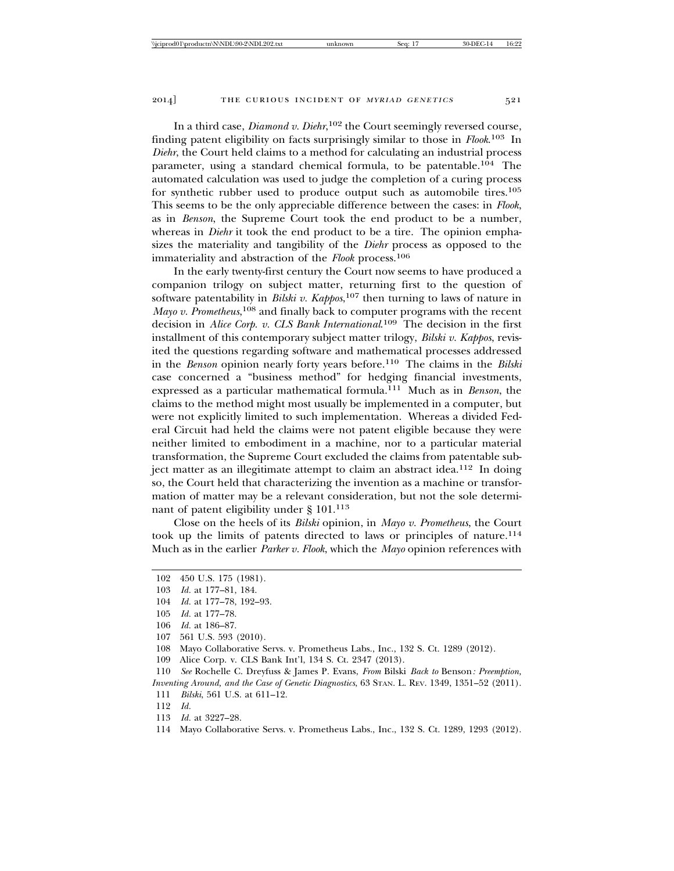In a third case, *Diamond v. Diehr*, 102 the Court seemingly reversed course, finding patent eligibility on facts surprisingly similar to those in *Flook*. 103 In *Diehr*, the Court held claims to a method for calculating an industrial process parameter, using a standard chemical formula, to be patentable.104 The automated calculation was used to judge the completion of a curing process for synthetic rubber used to produce output such as automobile tires.105 This seems to be the only appreciable difference between the cases: in *Flook*, as in *Benson*, the Supreme Court took the end product to be a number, whereas in *Diehr* it took the end product to be a tire. The opinion emphasizes the materiality and tangibility of the *Diehr* process as opposed to the immateriality and abstraction of the *Flook* process.106

In the early twenty-first century the Court now seems to have produced a companion trilogy on subject matter, returning first to the question of software patentability in *Bilski v. Kappos*, 107 then turning to laws of nature in Mayo v. Prometheus,<sup>108</sup> and finally back to computer programs with the recent decision in *Alice Corp. v. CLS Bank International*. 109 The decision in the first installment of this contemporary subject matter trilogy, *Bilski v. Kappos*, revisited the questions regarding software and mathematical processes addressed in the *Benson* opinion nearly forty years before.110 The claims in the *Bilski* case concerned a "business method" for hedging financial investments, expressed as a particular mathematical formula.111 Much as in *Benson*, the claims to the method might most usually be implemented in a computer, but were not explicitly limited to such implementation. Whereas a divided Federal Circuit had held the claims were not patent eligible because they were neither limited to embodiment in a machine, nor to a particular material transformation, the Supreme Court excluded the claims from patentable subject matter as an illegitimate attempt to claim an abstract idea.<sup>112</sup> In doing so, the Court held that characterizing the invention as a machine or transformation of matter may be a relevant consideration, but not the sole determinant of patent eligibility under § 101.113

Close on the heels of its *Bilski* opinion, in *Mayo v. Prometheus*, the Court took up the limits of patents directed to laws or principles of nature.114 Much as in the earlier *Parker v. Flook*, which the *Mayo* opinion references with

- 107 561 U.S. 593 (2010).
- 108 Mayo Collaborative Servs. v. Prometheus Labs., Inc., 132 S. Ct. 1289 (2012).
- 109 Alice Corp. v. CLS Bank Int'l, 134 S. Ct. 2347 (2013).

111 *Bilski*, 561 U.S. at 611–12.

- 113 *Id.* at 3227–28.
- 114 Mayo Collaborative Servs. v. Prometheus Labs., Inc., 132 S. Ct. 1289, 1293 (2012).

<sup>102 450</sup> U.S. 175 (1981).

<sup>103</sup> *Id.* at 177–81, 184.

<sup>104</sup> *Id.* at 177–78, 192–93.

<sup>105</sup> *Id.* at 177–78.

<sup>106</sup> *Id.* at 186–87.

<sup>110</sup> *See* Rochelle C. Dreyfuss & James P. Evans, *From* Bilski *Back to* Benson*: Preemption, Inventing Around, and the Case of Genetic Diagnostics*, 63 STAN. L. REV. 1349, 1351–52 (2011).

<sup>112</sup> *Id.*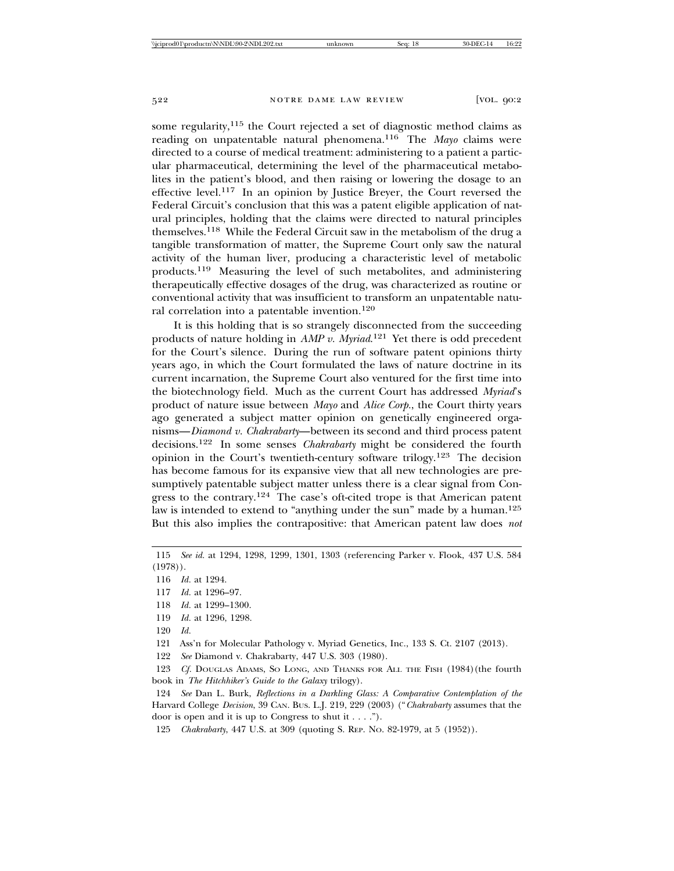some regularity,<sup>115</sup> the Court rejected a set of diagnostic method claims as reading on unpatentable natural phenomena.116 The *Mayo* claims were directed to a course of medical treatment: administering to a patient a particular pharmaceutical, determining the level of the pharmaceutical metabolites in the patient's blood, and then raising or lowering the dosage to an effective level.117 In an opinion by Justice Breyer, the Court reversed the Federal Circuit's conclusion that this was a patent eligible application of natural principles, holding that the claims were directed to natural principles themselves.118 While the Federal Circuit saw in the metabolism of the drug a tangible transformation of matter, the Supreme Court only saw the natural activity of the human liver, producing a characteristic level of metabolic products.119 Measuring the level of such metabolites, and administering therapeutically effective dosages of the drug, was characterized as routine or conventional activity that was insufficient to transform an unpatentable natural correlation into a patentable invention.120

It is this holding that is so strangely disconnected from the succeeding products of nature holding in *AMP v. Myriad*. 121 Yet there is odd precedent for the Court's silence. During the run of software patent opinions thirty years ago, in which the Court formulated the laws of nature doctrine in its current incarnation, the Supreme Court also ventured for the first time into the biotechnology field. Much as the current Court has addressed *Myriad*'s product of nature issue between *Mayo* and *Alice Corp.*, the Court thirty years ago generated a subject matter opinion on genetically engineered organisms—*Diamond v. Chakrabarty*—between its second and third process patent decisions.122 In some senses *Chakrabarty* might be considered the fourth opinion in the Court's twentieth-century software trilogy.123 The decision has become famous for its expansive view that all new technologies are presumptively patentable subject matter unless there is a clear signal from Congress to the contrary.124 The case's oft-cited trope is that American patent law is intended to extend to "anything under the sun" made by a human.<sup>125</sup> But this also implies the contrapositive: that American patent law does *not*

- 117 *Id.* at 1296–97.
- 118 *Id.* at 1299–1300.
- 119 *Id.* at 1296, 1298.

122 *See* Diamond v. Chakrabarty, 447 U.S. 303 (1980).

123 *Cf.* DOUGLAS ADAMS, SO LONG, AND THANKS FOR ALL THE FISH (1984) (the fourth book in *The Hitchhiker's Guide to the Galaxy* trilogy).

124 *See* Dan L. Burk, *Reflections in a Darkling Glass: A Comparative Contemplation of the* Harvard College *Decision*, 39 CAN. BUS. L.J. 219, 229 (2003) ("*Chakrabarty* assumes that the door is open and it is up to Congress to shut it . . . .").

<sup>115</sup> *See id.* at 1294, 1298, 1299, 1301, 1303 (referencing Parker v. Flook, 437 U.S. 584 (1978)).

<sup>116</sup> *Id.* at 1294.

<sup>120</sup> *Id.*

<sup>121</sup> Ass'n for Molecular Pathology v. Myriad Genetics, Inc., 133 S. Ct. 2107 (2013).

<sup>125</sup> *Chakrabarty*, 447 U.S. at 309 (quoting S. REP. NO. 82-1979, at 5 (1952)).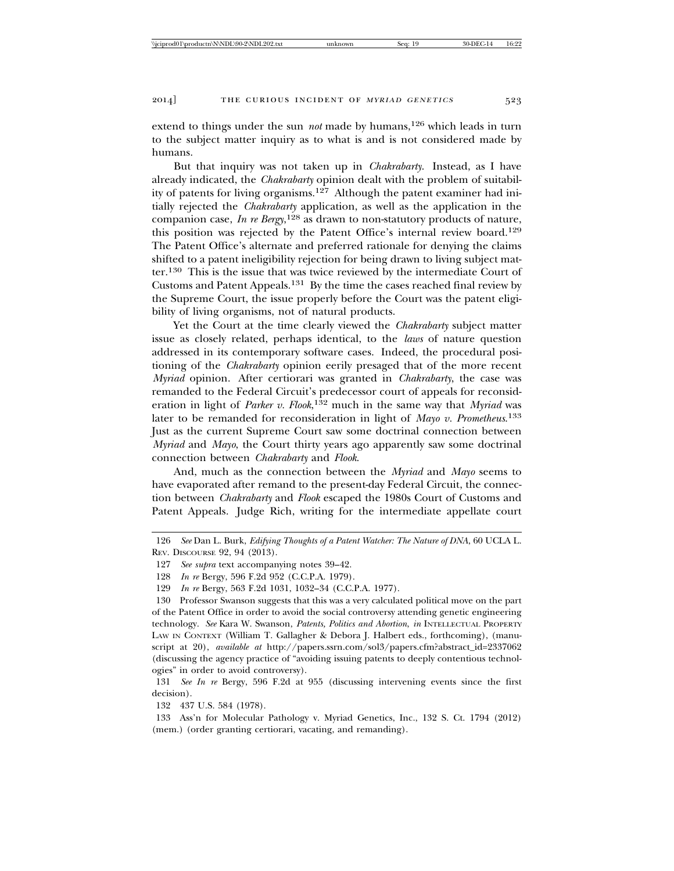extend to things under the sun *not* made by humans,<sup>126</sup> which leads in turn to the subject matter inquiry as to what is and is not considered made by humans.

But that inquiry was not taken up in *Chakrabarty*. Instead, as I have already indicated, the *Chakrabarty* opinion dealt with the problem of suitability of patents for living organisms.127 Although the patent examiner had initially rejected the *Chakrabarty* application, as well as the application in the companion case, *In re Bergy*, 128 as drawn to non-statutory products of nature, this position was rejected by the Patent Office's internal review board.<sup>129</sup> The Patent Office's alternate and preferred rationale for denying the claims shifted to a patent ineligibility rejection for being drawn to living subject matter.130 This is the issue that was twice reviewed by the intermediate Court of Customs and Patent Appeals.131 By the time the cases reached final review by the Supreme Court, the issue properly before the Court was the patent eligibility of living organisms, not of natural products.

Yet the Court at the time clearly viewed the *Chakrabarty* subject matter issue as closely related, perhaps identical, to the *laws* of nature question addressed in its contemporary software cases. Indeed, the procedural positioning of the *Chakrabarty* opinion eerily presaged that of the more recent *Myriad* opinion. After certiorari was granted in *Chakrabarty*, the case was remanded to the Federal Circuit's predecessor court of appeals for reconsideration in light of *Parker v. Flook*, 132 much in the same way that *Myriad* was later to be remanded for reconsideration in light of *Mayo v. Prometheus*. 133 Just as the current Supreme Court saw some doctrinal connection between *Myriad* and *Mayo*, the Court thirty years ago apparently saw some doctrinal connection between *Chakrabarty* and *Flook*.

And, much as the connection between the *Myriad* and *Mayo* seems to have evaporated after remand to the present-day Federal Circuit, the connection between *Chakrabarty* and *Flook* escaped the 1980s Court of Customs and Patent Appeals. Judge Rich, writing for the intermediate appellate court

131 *See In re* Bergy, 596 F.2d at 955 (discussing intervening events since the first decision).

132 437 U.S. 584 (1978).

133 Ass'n for Molecular Pathology v. Myriad Genetics, Inc., 132 S. Ct. 1794 (2012) (mem.) (order granting certiorari, vacating, and remanding).

<sup>126</sup> *See* Dan L. Burk, *Edifying Thoughts of a Patent Watcher: The Nature of DNA*, 60 UCLA L. REV. DISCOURSE 92, 94 (2013).

<sup>127</sup> *See supra* text accompanying notes 39–42.

<sup>128</sup> *In re* Bergy, 596 F.2d 952 (C.C.P.A. 1979).

<sup>129</sup> *In re* Bergy, 563 F.2d 1031, 1032–34 (C.C.P.A. 1977).

<sup>130</sup> Professor Swanson suggests that this was a very calculated political move on the part of the Patent Office in order to avoid the social controversy attending genetic engineering technology. *See* Kara W. Swanson, *Patents, Politics and Abortion*, *in* INTELLECTUAL PROPERTY LAW IN CONTEXT (William T. Gallagher & Debora J. Halbert eds., forthcoming), (manuscript at 20), *available at* http://papers.ssrn.com/sol3/papers.cfm?abstract\_id=2337062 (discussing the agency practice of "avoiding issuing patents to deeply contentious technologies" in order to avoid controversy).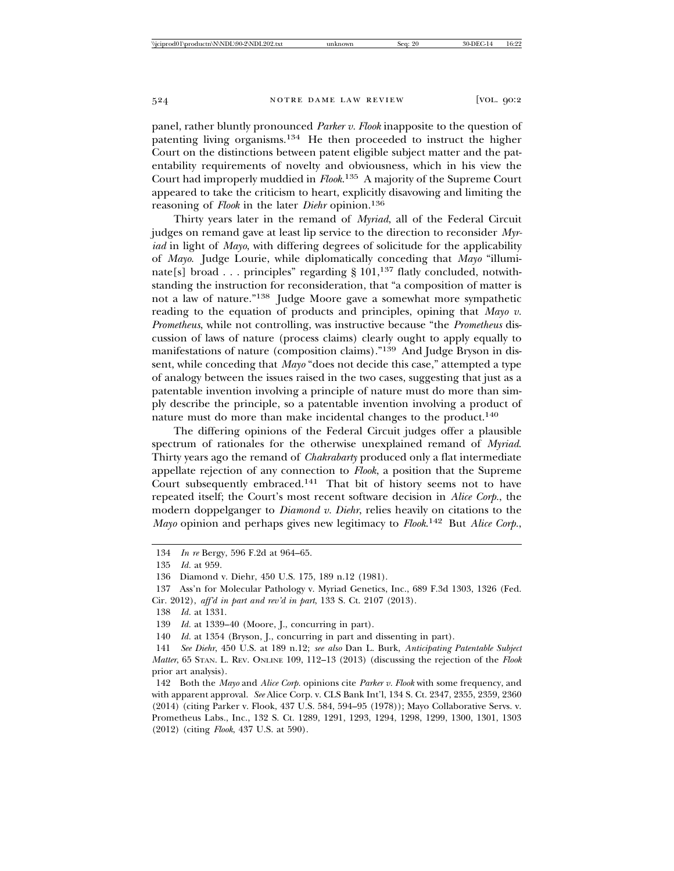panel, rather bluntly pronounced *Parker v. Flook* inapposite to the question of patenting living organisms.134 He then proceeded to instruct the higher Court on the distinctions between patent eligible subject matter and the patentability requirements of novelty and obviousness, which in his view the Court had improperly muddied in *Flook*. 135 A majority of the Supreme Court appeared to take the criticism to heart, explicitly disavowing and limiting the reasoning of *Flook* in the later *Diehr* opinion.136

Thirty years later in the remand of *Myriad*, all of the Federal Circuit judges on remand gave at least lip service to the direction to reconsider *Myriad* in light of *Mayo*, with differing degrees of solicitude for the applicability of *Mayo*. Judge Lourie, while diplomatically conceding that *Mayo* "illuminate[s] broad . . . principles" regarding  $\S 101$ ,<sup>137</sup> flatly concluded, notwithstanding the instruction for reconsideration, that "a composition of matter is not a law of nature."138 Judge Moore gave a somewhat more sympathetic reading to the equation of products and principles, opining that *Mayo v. Prometheus*, while not controlling, was instructive because "the *Prometheus* discussion of laws of nature (process claims) clearly ought to apply equally to manifestations of nature (composition claims)."139 And Judge Bryson in dissent, while conceding that *Mayo* "does not decide this case," attempted a type of analogy between the issues raised in the two cases, suggesting that just as a patentable invention involving a principle of nature must do more than simply describe the principle, so a patentable invention involving a product of nature must do more than make incidental changes to the product.<sup>140</sup>

The differing opinions of the Federal Circuit judges offer a plausible spectrum of rationales for the otherwise unexplained remand of *Myriad*. Thirty years ago the remand of *Chakrabarty* produced only a flat intermediate appellate rejection of any connection to *Flook*, a position that the Supreme Court subsequently embraced.141 That bit of history seems not to have repeated itself; the Court's most recent software decision in *Alice Corp.*, the modern doppelganger to *Diamond v. Diehr*, relies heavily on citations to the *Mayo* opinion and perhaps gives new legitimacy to *Flook*. 142 But *Alice Corp.*,

<sup>134</sup> *In re* Bergy, 596 F.2d at 964–65.

<sup>135</sup> *Id.* at 959.

<sup>136</sup> Diamond v. Diehr, 450 U.S. 175, 189 n.12 (1981).

<sup>137</sup> Ass'n for Molecular Pathology v. Myriad Genetics, Inc., 689 F.3d 1303, 1326 (Fed. Cir. 2012), *aff'd in part and rev'd in part*, 133 S. Ct. 2107 (2013).

<sup>138</sup> *Id.* at 1331.

<sup>139</sup> *Id.* at 1339–40 (Moore, J., concurring in part).

<sup>140</sup> *Id.* at 1354 (Bryson, J., concurring in part and dissenting in part).

<sup>141</sup> *See Diehr*, 450 U.S. at 189 n.12; *see also* Dan L. Burk, *Anticipating Patentable Subject Matter*, 65 STAN. L. REV. ONLINE 109, 112–13 (2013) (discussing the rejection of the *Flook* prior art analysis).

<sup>142</sup> Both the *Mayo* and *Alice Corp.* opinions cite *Parker v. Flook* with some frequency, and with apparent approval. *See* Alice Corp. v. CLS Bank Int'l, 134 S. Ct. 2347, 2355, 2359, 2360 (2014) (citing Parker v. Flook, 437 U.S. 584, 594–95 (1978)); Mayo Collaborative Servs. v. Prometheus Labs., Inc., 132 S. Ct. 1289, 1291, 1293, 1294, 1298, 1299, 1300, 1301, 1303 (2012) (citing *Flook*, 437 U.S. at 590).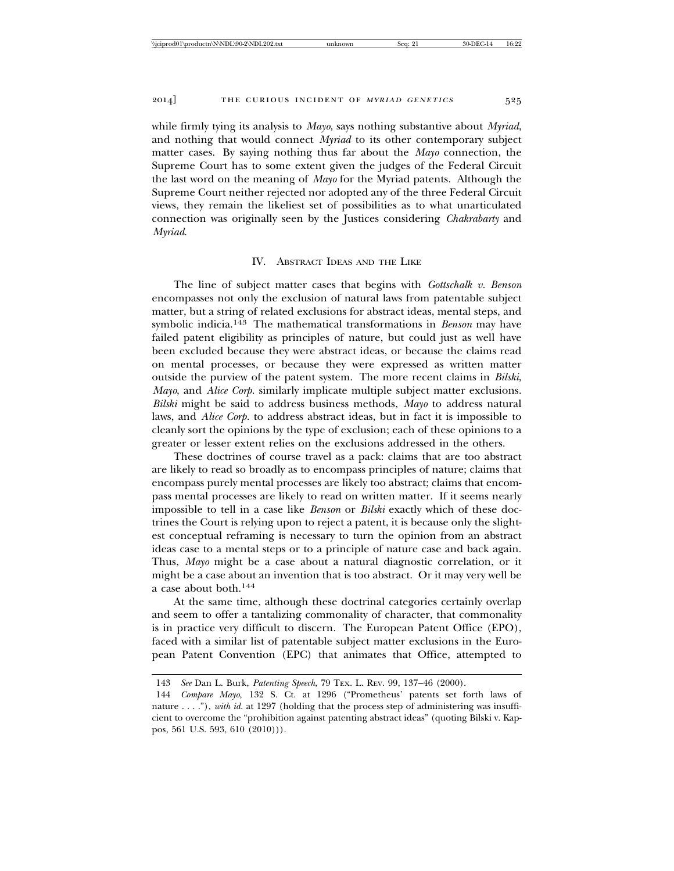while firmly tying its analysis to *Mayo*, says nothing substantive about *Myriad*, and nothing that would connect *Myriad* to its other contemporary subject matter cases. By saying nothing thus far about the *Mayo* connection, the Supreme Court has to some extent given the judges of the Federal Circuit the last word on the meaning of *Mayo* for the Myriad patents. Although the Supreme Court neither rejected nor adopted any of the three Federal Circuit views, they remain the likeliest set of possibilities as to what unarticulated connection was originally seen by the Justices considering *Chakrabarty* and *Myriad*.

### IV. ABSTRACT IDEAS AND THE LIKE

The line of subject matter cases that begins with *Gottschalk v. Benson* encompasses not only the exclusion of natural laws from patentable subject matter, but a string of related exclusions for abstract ideas, mental steps, and symbolic indicia.143 The mathematical transformations in *Benson* may have failed patent eligibility as principles of nature, but could just as well have been excluded because they were abstract ideas, or because the claims read on mental processes, or because they were expressed as written matter outside the purview of the patent system. The more recent claims in *Bilski*, *Mayo*, and *Alice Corp.* similarly implicate multiple subject matter exclusions. *Bilski* might be said to address business methods, *Mayo* to address natural laws, and *Alice Corp.* to address abstract ideas, but in fact it is impossible to cleanly sort the opinions by the type of exclusion; each of these opinions to a greater or lesser extent relies on the exclusions addressed in the others.

These doctrines of course travel as a pack: claims that are too abstract are likely to read so broadly as to encompass principles of nature; claims that encompass purely mental processes are likely too abstract; claims that encompass mental processes are likely to read on written matter. If it seems nearly impossible to tell in a case like *Benson* or *Bilski* exactly which of these doctrines the Court is relying upon to reject a patent, it is because only the slightest conceptual reframing is necessary to turn the opinion from an abstract ideas case to a mental steps or to a principle of nature case and back again. Thus, *Mayo* might be a case about a natural diagnostic correlation, or it might be a case about an invention that is too abstract. Or it may very well be a case about both.144

At the same time, although these doctrinal categories certainly overlap and seem to offer a tantalizing commonality of character, that commonality is in practice very difficult to discern. The European Patent Office (EPO), faced with a similar list of patentable subject matter exclusions in the European Patent Convention (EPC) that animates that Office, attempted to

<sup>143</sup> *See* Dan L. Burk, *Patenting Speech*, 79 TEX. L. REV. 99, 137–46 (2000).

<sup>144</sup> *Compare Mayo*, 132 S. Ct. at 1296 ("Prometheus' patents set forth laws of nature . . . ."), *with id.* at 1297 (holding that the process step of administering was insufficient to overcome the "prohibition against patenting abstract ideas" (quoting Bilski v. Kappos, 561 U.S. 593, 610 (2010))).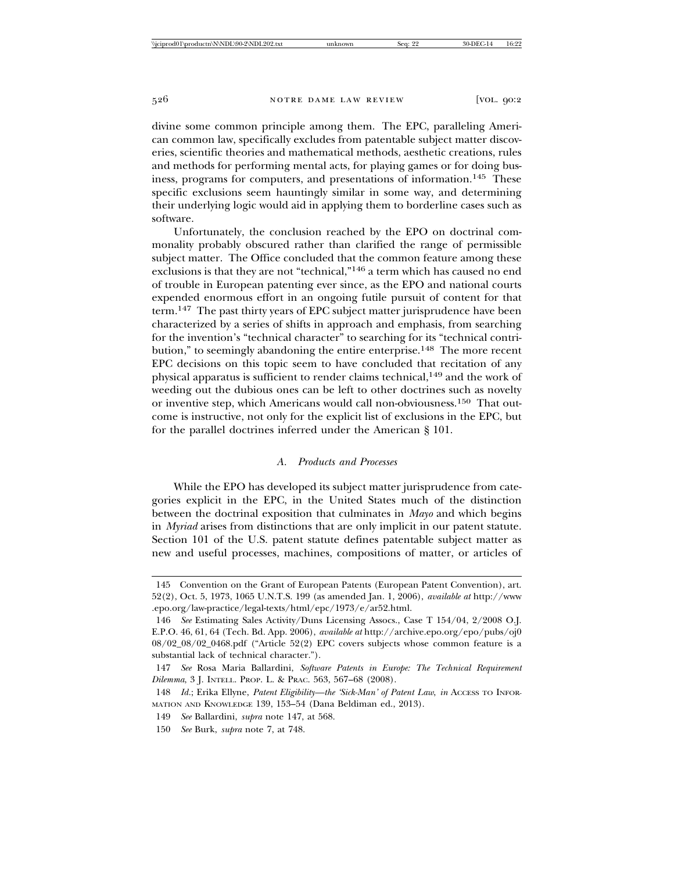divine some common principle among them. The EPC, paralleling American common law, specifically excludes from patentable subject matter discoveries, scientific theories and mathematical methods, aesthetic creations, rules and methods for performing mental acts, for playing games or for doing business, programs for computers, and presentations of information.145 These specific exclusions seem hauntingly similar in some way, and determining their underlying logic would aid in applying them to borderline cases such as software.

Unfortunately, the conclusion reached by the EPO on doctrinal commonality probably obscured rather than clarified the range of permissible subject matter. The Office concluded that the common feature among these exclusions is that they are not "technical,"146 a term which has caused no end of trouble in European patenting ever since, as the EPO and national courts expended enormous effort in an ongoing futile pursuit of content for that term.147 The past thirty years of EPC subject matter jurisprudence have been characterized by a series of shifts in approach and emphasis, from searching for the invention's "technical character" to searching for its "technical contribution," to seemingly abandoning the entire enterprise.<sup>148</sup> The more recent EPC decisions on this topic seem to have concluded that recitation of any physical apparatus is sufficient to render claims technical,<sup>149</sup> and the work of weeding out the dubious ones can be left to other doctrines such as novelty or inventive step, which Americans would call non-obviousness.150 That outcome is instructive, not only for the explicit list of exclusions in the EPC, but for the parallel doctrines inferred under the American § 101.

### *A. Products and Processes*

While the EPO has developed its subject matter jurisprudence from categories explicit in the EPC, in the United States much of the distinction between the doctrinal exposition that culminates in *Mayo* and which begins in *Myriad* arises from distinctions that are only implicit in our patent statute. Section 101 of the U.S. patent statute defines patentable subject matter as new and useful processes, machines, compositions of matter, or articles of

<sup>145</sup> Convention on the Grant of European Patents (European Patent Convention), art. 52(2), Oct. 5, 1973, 1065 U.N.T.S. 199 (as amended Jan. 1, 2006), *available at* http://www .epo.org/law-practice/legal-texts/html/epc/1973/e/ar52.html.

<sup>146</sup> *See* Estimating Sales Activity/Duns Licensing Assocs., Case T 154/04, 2/2008 O.J. E.P.O. 46, 61, 64 (Tech. Bd. App. 2006), *available at* http://archive.epo.org/epo/pubs/oj0 08/02\_08/02\_0468.pdf ("Article 52(2) EPC covers subjects whose common feature is a substantial lack of technical character.").

<sup>147</sup> *See* Rosa Maria Ballardini, *Software Patents in Europe: The Technical Requirement Dilemma*, 3 J. INTELL. PROP. L. & PRAC. 563, 567–68 (2008).

<sup>148</sup> *Id.*; Erika Ellyne, *Patent Eligibility—the 'Sick-Man' of Patent Law*, *in* ACCESS TO INFOR-MATION AND KNOWLEDGE 139, 153–54 (Dana Beldiman ed., 2013).

<sup>149</sup> *See* Ballardini, *supra* note 147, at 568.

<sup>150</sup> *See* Burk, *supra* note 7, at 748.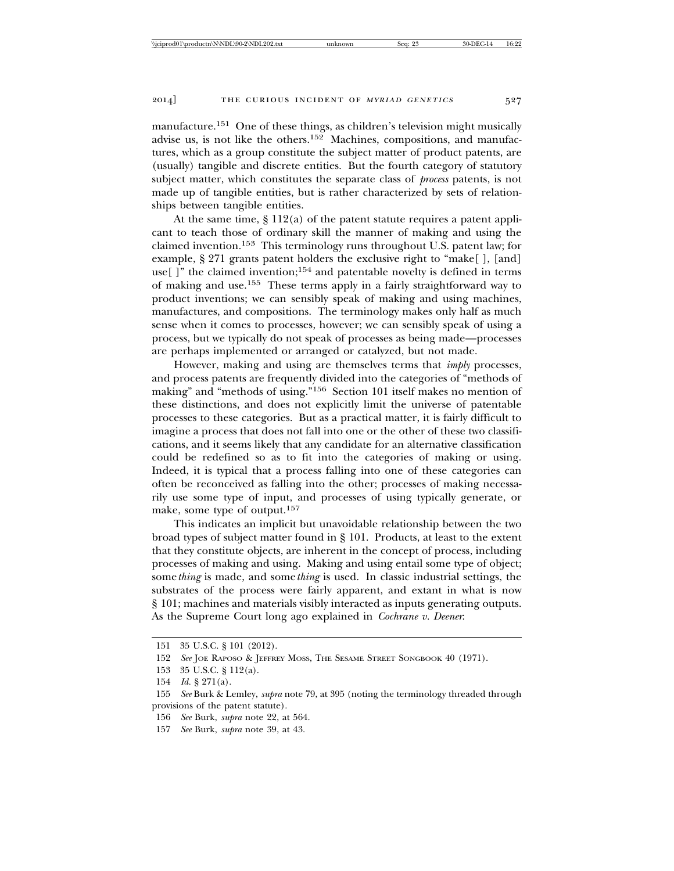manufacture.<sup>151</sup> One of these things, as children's television might musically advise us, is not like the others.152 Machines, compositions, and manufactures, which as a group constitute the subject matter of product patents, are (usually) tangible and discrete entities. But the fourth category of statutory subject matter, which constitutes the separate class of *process* patents, is not made up of tangible entities, but is rather characterized by sets of relationships between tangible entities.

At the same time, § 112(a) of the patent statute requires a patent applicant to teach those of ordinary skill the manner of making and using the claimed invention.153 This terminology runs throughout U.S. patent law; for example, § 271 grants patent holders the exclusive right to "make[ ], [and] use[]" the claimed invention;<sup>154</sup> and patentable novelty is defined in terms of making and use.155 These terms apply in a fairly straightforward way to product inventions; we can sensibly speak of making and using machines, manufactures, and compositions. The terminology makes only half as much sense when it comes to processes, however; we can sensibly speak of using a process, but we typically do not speak of processes as being made—processes are perhaps implemented or arranged or catalyzed, but not made.

However, making and using are themselves terms that *imply* processes, and process patents are frequently divided into the categories of "methods of making" and "methods of using."156 Section 101 itself makes no mention of these distinctions, and does not explicitly limit the universe of patentable processes to these categories. But as a practical matter, it is fairly difficult to imagine a process that does not fall into one or the other of these two classifications, and it seems likely that any candidate for an alternative classification could be redefined so as to fit into the categories of making or using. Indeed, it is typical that a process falling into one of these categories can often be reconceived as falling into the other; processes of making necessarily use some type of input, and processes of using typically generate, or make, some type of output.157

This indicates an implicit but unavoidable relationship between the two broad types of subject matter found in § 101. Products, at least to the extent that they constitute objects, are inherent in the concept of process, including processes of making and using. Making and using entail some type of object; some*thing* is made, and some*thing* is used. In classic industrial settings, the substrates of the process were fairly apparent, and extant in what is now § 101; machines and materials visibly interacted as inputs generating outputs. As the Supreme Court long ago explained in *Cochrane v. Deener*:

157 *See* Burk, *supra* note 39, at 43.

<sup>151 35</sup> U.S.C. § 101 (2012).

<sup>152</sup> *See* JOE RAPOSO & JEFFREY MOSS, THE SESAME STREET SONGBOOK 40 (1971).

<sup>153 35</sup> U.S.C. § 112(a).

<sup>154</sup> *Id.* § 271(a).

<sup>155</sup> *See* Burk & Lemley, *supra* note 79, at 395 (noting the terminology threaded through provisions of the patent statute).

<sup>156</sup> *See* Burk, *supra* note 22, at 564.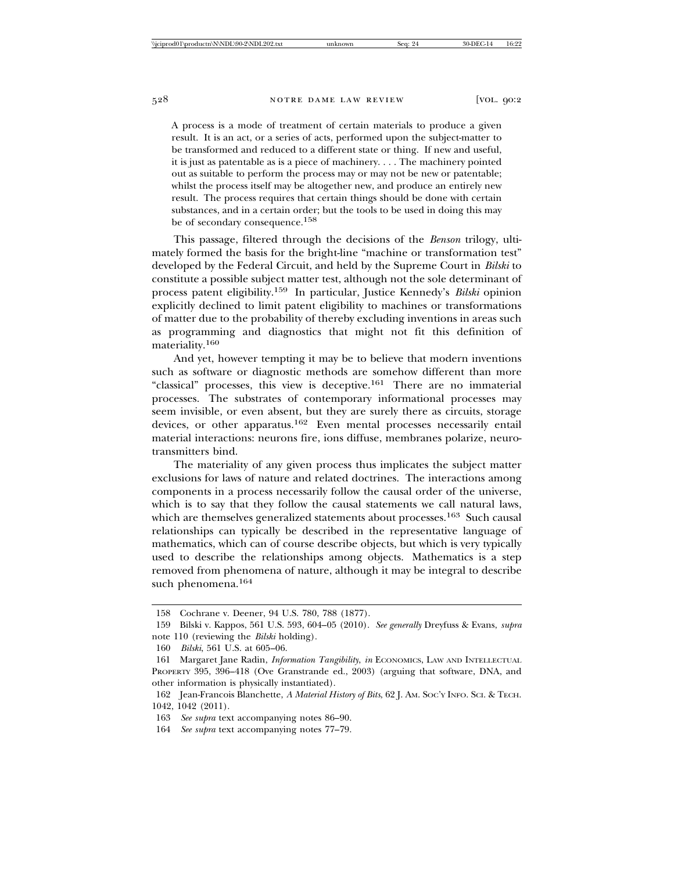A process is a mode of treatment of certain materials to produce a given result. It is an act, or a series of acts, performed upon the subject-matter to be transformed and reduced to a different state or thing. If new and useful, it is just as patentable as is a piece of machinery. . . . The machinery pointed out as suitable to perform the process may or may not be new or patentable; whilst the process itself may be altogether new, and produce an entirely new result. The process requires that certain things should be done with certain substances, and in a certain order; but the tools to be used in doing this may be of secondary consequence.158

This passage, filtered through the decisions of the *Benson* trilogy, ultimately formed the basis for the bright-line "machine or transformation test" developed by the Federal Circuit, and held by the Supreme Court in *Bilski* to constitute a possible subject matter test, although not the sole determinant of process patent eligibility.159 In particular, Justice Kennedy's *Bilski* opinion explicitly declined to limit patent eligibility to machines or transformations of matter due to the probability of thereby excluding inventions in areas such as programming and diagnostics that might not fit this definition of materiality.<sup>160</sup>

And yet, however tempting it may be to believe that modern inventions such as software or diagnostic methods are somehow different than more "classical" processes, this view is deceptive.161 There are no immaterial processes. The substrates of contemporary informational processes may seem invisible, or even absent, but they are surely there as circuits, storage devices, or other apparatus.162 Even mental processes necessarily entail material interactions: neurons fire, ions diffuse, membranes polarize, neurotransmitters bind.

The materiality of any given process thus implicates the subject matter exclusions for laws of nature and related doctrines. The interactions among components in a process necessarily follow the causal order of the universe, which is to say that they follow the causal statements we call natural laws, which are themselves generalized statements about processes.<sup>163</sup> Such causal relationships can typically be described in the representative language of mathematics, which can of course describe objects, but which is very typically used to describe the relationships among objects. Mathematics is a step removed from phenomena of nature, although it may be integral to describe such phenomena.164

<sup>158</sup> Cochrane v. Deener, 94 U.S. 780, 788 (1877).

<sup>159</sup> Bilski v. Kappos, 561 U.S. 593, 604–05 (2010). *See generally* Dreyfuss & Evans, *supra* note 110 (reviewing the *Bilski* holding).

<sup>160</sup> *Bilski*, 561 U.S. at 605–06.

<sup>161</sup> Margaret Jane Radin, *Information Tangibility*, *in* ECONOMICS, LAW AND INTELLECTUAL PROPERTY 395, 396–418 (Ove Granstrande ed., 2003) (arguing that software, DNA, and other information is physically instantiated).

<sup>162</sup> Jean-Francois Blanchette, *A Material History of Bits*, 62 J. AM. SOC'Y INFO. SCI. & TECH. 1042, 1042 (2011).

<sup>163</sup> *See supra* text accompanying notes 86–90.

<sup>164</sup> *See supra* text accompanying notes 77–79.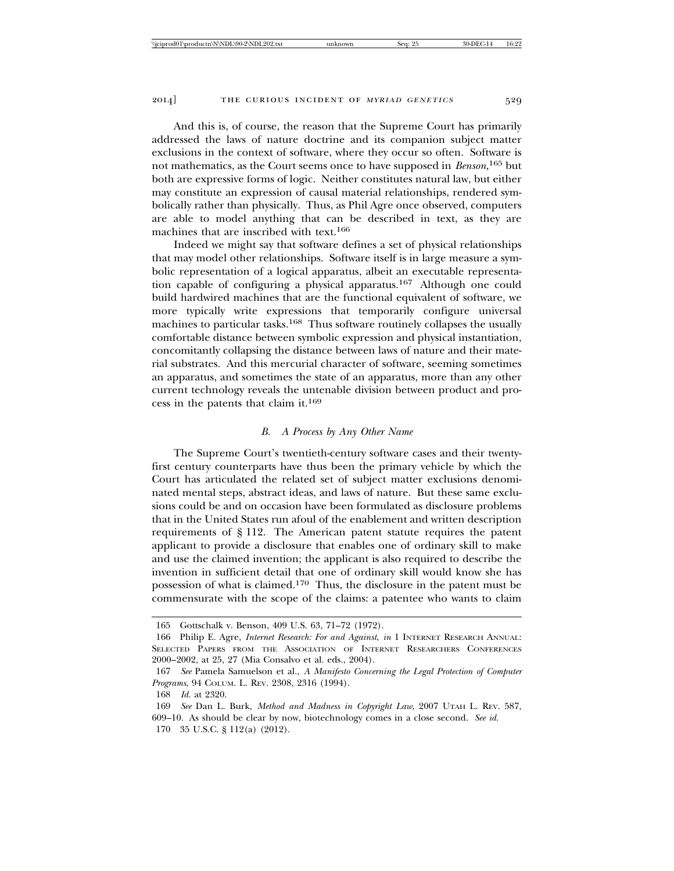And this is, of course, the reason that the Supreme Court has primarily addressed the laws of nature doctrine and its companion subject matter exclusions in the context of software, where they occur so often. Software is not mathematics, as the Court seems once to have supposed in *Benson*, 165 but both are expressive forms of logic. Neither constitutes natural law, but either may constitute an expression of causal material relationships, rendered symbolically rather than physically. Thus, as Phil Agre once observed, computers are able to model anything that can be described in text, as they are machines that are inscribed with text.166

Indeed we might say that software defines a set of physical relationships that may model other relationships. Software itself is in large measure a symbolic representation of a logical apparatus, albeit an executable representation capable of configuring a physical apparatus.167 Although one could build hardwired machines that are the functional equivalent of software, we more typically write expressions that temporarily configure universal machines to particular tasks.168 Thus software routinely collapses the usually comfortable distance between symbolic expression and physical instantiation, concomitantly collapsing the distance between laws of nature and their material substrates. And this mercurial character of software, seeming sometimes an apparatus, and sometimes the state of an apparatus, more than any other current technology reveals the untenable division between product and process in the patents that claim it.169

## *B. A Process by Any Other Name*

The Supreme Court's twentieth-century software cases and their twentyfirst century counterparts have thus been the primary vehicle by which the Court has articulated the related set of subject matter exclusions denominated mental steps, abstract ideas, and laws of nature. But these same exclusions could be and on occasion have been formulated as disclosure problems that in the United States run afoul of the enablement and written description requirements of § 112. The American patent statute requires the patent applicant to provide a disclosure that enables one of ordinary skill to make and use the claimed invention; the applicant is also required to describe the invention in sufficient detail that one of ordinary skill would know she has possession of what is claimed.170 Thus, the disclosure in the patent must be commensurate with the scope of the claims: a patentee who wants to claim

<sup>165</sup> Gottschalk v. Benson, 409 U.S. 63, 71–72 (1972).

<sup>166</sup> Philip E. Agre, *Internet Research: For and Against*, *in* 1 INTERNET RESEARCH ANNUAL: SELECTED PAPERS FROM THE ASSOCIATION OF INTERNET RESEARCHERS CONFERENCES 2000–2002, at 25, 27 (Mia Consalvo et al. eds., 2004).

<sup>167</sup> *See* Pamela Samuelson et al., *A Manifesto Concerning the Legal Protection of Computer Programs*, 94 COLUM. L. REV. 2308, 2316 (1994).

<sup>168</sup> *Id.* at 2320.

<sup>169</sup> *See* Dan L. Burk, *Method and Madness in Copyright Law*, 2007 UTAH L. REV. 587, 609–10. As should be clear by now, biotechnology comes in a close second. *See id.* 170 35 U.S.C. § 112(a) (2012).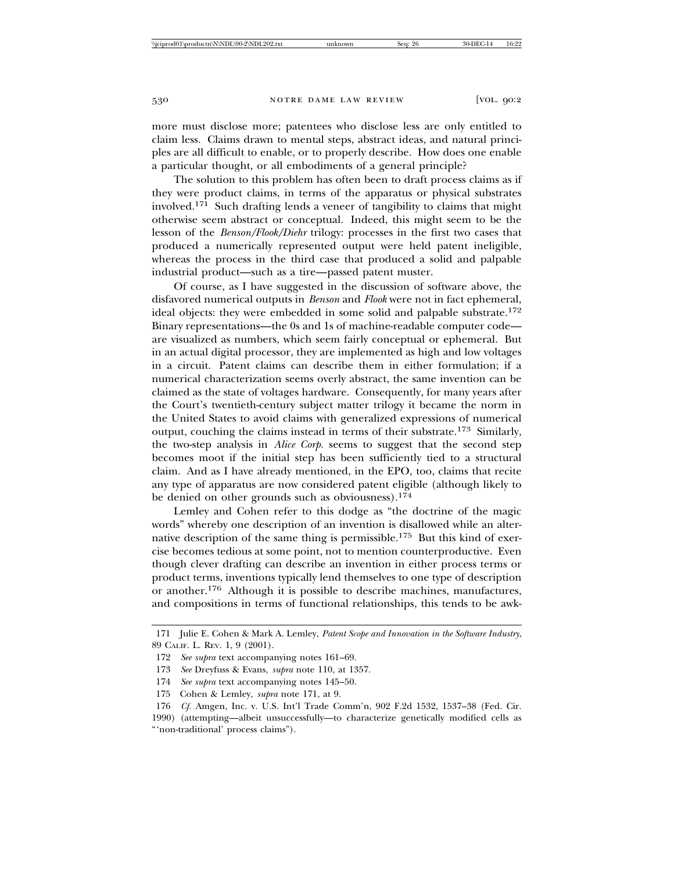more must disclose more; patentees who disclose less are only entitled to claim less. Claims drawn to mental steps, abstract ideas, and natural principles are all difficult to enable, or to properly describe. How does one enable a particular thought, or all embodiments of a general principle?

The solution to this problem has often been to draft process claims as if they were product claims, in terms of the apparatus or physical substrates involved.<sup>171</sup> Such drafting lends a veneer of tangibility to claims that might otherwise seem abstract or conceptual. Indeed, this might seem to be the lesson of the *Benson/Flook/Diehr* trilogy: processes in the first two cases that produced a numerically represented output were held patent ineligible, whereas the process in the third case that produced a solid and palpable industrial product—such as a tire—passed patent muster.

Of course, as I have suggested in the discussion of software above, the disfavored numerical outputs in *Benson* and *Flook* were not in fact ephemeral, ideal objects: they were embedded in some solid and palpable substrate.172 Binary representations—the 0s and 1s of machine-readable computer code are visualized as numbers, which seem fairly conceptual or ephemeral. But in an actual digital processor, they are implemented as high and low voltages in a circuit. Patent claims can describe them in either formulation; if a numerical characterization seems overly abstract, the same invention can be claimed as the state of voltages hardware. Consequently, for many years after the Court's twentieth-century subject matter trilogy it became the norm in the United States to avoid claims with generalized expressions of numerical output, couching the claims instead in terms of their substrate.173 Similarly, the two-step analysis in *Alice Corp.* seems to suggest that the second step becomes moot if the initial step has been sufficiently tied to a structural claim. And as I have already mentioned, in the EPO, too, claims that recite any type of apparatus are now considered patent eligible (although likely to be denied on other grounds such as obviousness).<sup>174</sup>

Lemley and Cohen refer to this dodge as "the doctrine of the magic words" whereby one description of an invention is disallowed while an alternative description of the same thing is permissible.175 But this kind of exercise becomes tedious at some point, not to mention counterproductive. Even though clever drafting can describe an invention in either process terms or product terms, inventions typically lend themselves to one type of description or another.176 Although it is possible to describe machines, manufactures, and compositions in terms of functional relationships, this tends to be awk-

- 174 *See supra* text accompanying notes 145–50.
- 175 Cohen & Lemley, *supra* note 171, at 9.

<sup>171</sup> Julie E. Cohen & Mark A. Lemley, *Patent Scope and Innovation in the Software Industry*, 89 CALIF. L. REV. 1, 9 (2001).

<sup>172</sup> *See supra* text accompanying notes 161–69.

<sup>173</sup> *See* Dreyfuss & Evans, *supra* note 110, at 1357.

<sup>176</sup> *Cf.* Amgen, Inc. v. U.S. Int'l Trade Comm'n, 902 F.2d 1532, 1537–38 (Fed. Cir. 1990) (attempting—albeit unsuccessfully—to characterize genetically modified cells as "'non-traditional' process claims").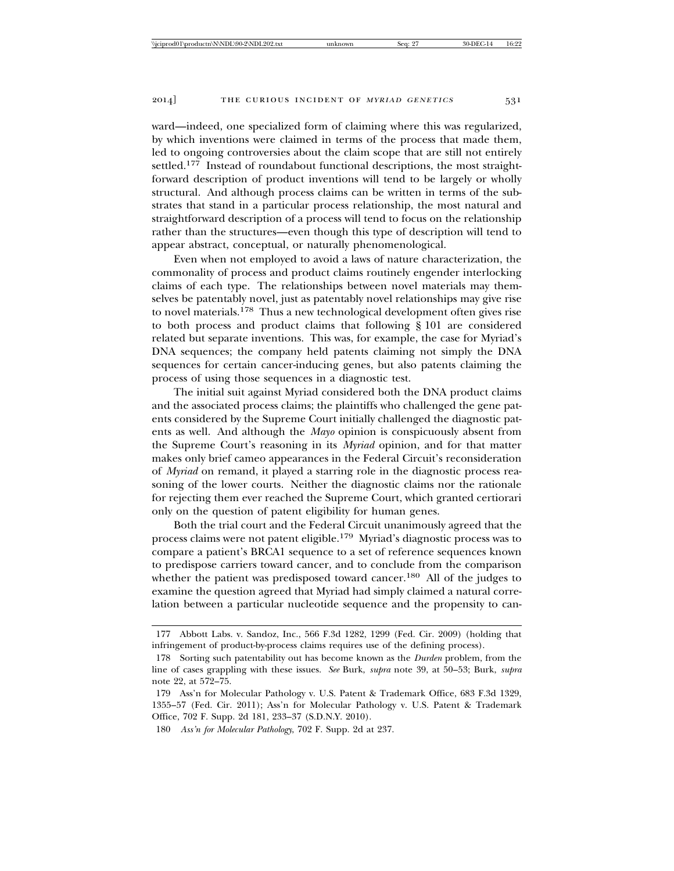ward—indeed, one specialized form of claiming where this was regularized, by which inventions were claimed in terms of the process that made them, led to ongoing controversies about the claim scope that are still not entirely settled.177 Instead of roundabout functional descriptions, the most straightforward description of product inventions will tend to be largely or wholly structural. And although process claims can be written in terms of the substrates that stand in a particular process relationship, the most natural and straightforward description of a process will tend to focus on the relationship rather than the structures—even though this type of description will tend to appear abstract, conceptual, or naturally phenomenological.

Even when not employed to avoid a laws of nature characterization, the commonality of process and product claims routinely engender interlocking claims of each type. The relationships between novel materials may themselves be patentably novel, just as patentably novel relationships may give rise to novel materials.178 Thus a new technological development often gives rise to both process and product claims that following § 101 are considered related but separate inventions. This was, for example, the case for Myriad's DNA sequences; the company held patents claiming not simply the DNA sequences for certain cancer-inducing genes, but also patents claiming the process of using those sequences in a diagnostic test.

The initial suit against Myriad considered both the DNA product claims and the associated process claims; the plaintiffs who challenged the gene patents considered by the Supreme Court initially challenged the diagnostic patents as well. And although the *Mayo* opinion is conspicuously absent from the Supreme Court's reasoning in its *Myriad* opinion, and for that matter makes only brief cameo appearances in the Federal Circuit's reconsideration of *Myriad* on remand, it played a starring role in the diagnostic process reasoning of the lower courts. Neither the diagnostic claims nor the rationale for rejecting them ever reached the Supreme Court, which granted certiorari only on the question of patent eligibility for human genes.

Both the trial court and the Federal Circuit unanimously agreed that the process claims were not patent eligible.179 Myriad's diagnostic process was to compare a patient's BRCA1 sequence to a set of reference sequences known to predispose carriers toward cancer, and to conclude from the comparison whether the patient was predisposed toward cancer.180 All of the judges to examine the question agreed that Myriad had simply claimed a natural correlation between a particular nucleotide sequence and the propensity to can-

<sup>177</sup> Abbott Labs. v. Sandoz, Inc., 566 F.3d 1282, 1299 (Fed. Cir. 2009) (holding that infringement of product-by-process claims requires use of the defining process).

<sup>178</sup> Sorting such patentability out has become known as the *Durden* problem, from the line of cases grappling with these issues. *See* Burk, *supra* note 39, at 50–53; Burk, *supra* note 22, at 572–75.

<sup>179</sup> Ass'n for Molecular Pathology v. U.S. Patent & Trademark Office, 683 F.3d 1329, 1355–57 (Fed. Cir. 2011); Ass'n for Molecular Pathology v. U.S. Patent & Trademark Office, 702 F. Supp. 2d 181, 233–37 (S.D.N.Y. 2010).

<sup>180</sup> *Ass'n for Molecular Pathology*, 702 F. Supp. 2d at 237.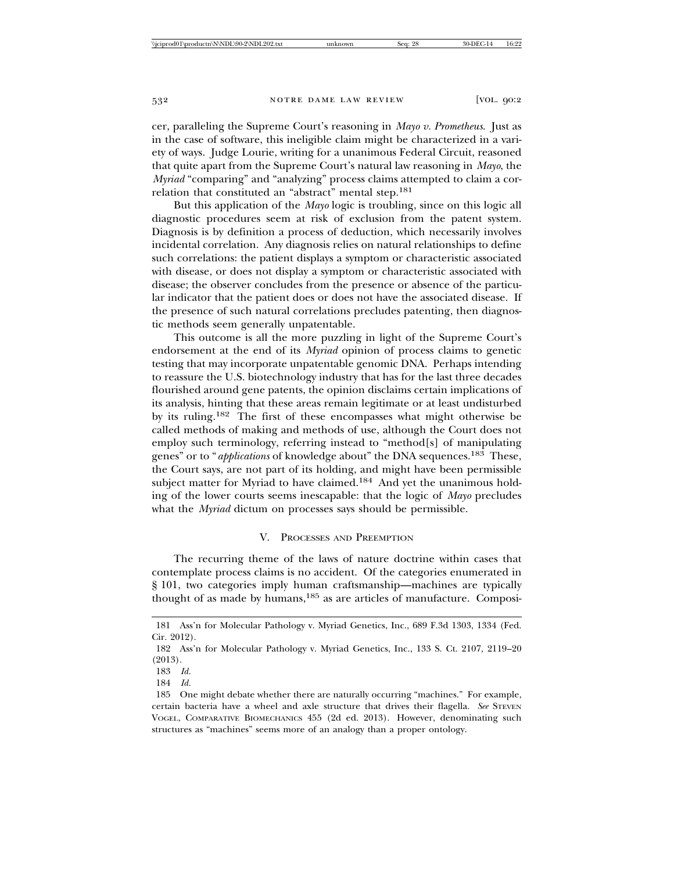cer, paralleling the Supreme Court's reasoning in *Mayo v. Prometheus*. Just as in the case of software, this ineligible claim might be characterized in a variety of ways. Judge Lourie, writing for a unanimous Federal Circuit, reasoned that quite apart from the Supreme Court's natural law reasoning in *Mayo*, the *Myriad* "comparing" and "analyzing" process claims attempted to claim a correlation that constituted an "abstract" mental step.181

But this application of the *Mayo* logic is troubling, since on this logic all diagnostic procedures seem at risk of exclusion from the patent system. Diagnosis is by definition a process of deduction, which necessarily involves incidental correlation. Any diagnosis relies on natural relationships to define such correlations: the patient displays a symptom or characteristic associated with disease, or does not display a symptom or characteristic associated with disease; the observer concludes from the presence or absence of the particular indicator that the patient does or does not have the associated disease. If the presence of such natural correlations precludes patenting, then diagnostic methods seem generally unpatentable.

This outcome is all the more puzzling in light of the Supreme Court's endorsement at the end of its *Myriad* opinion of process claims to genetic testing that may incorporate unpatentable genomic DNA. Perhaps intending to reassure the U.S. biotechnology industry that has for the last three decades flourished around gene patents, the opinion disclaims certain implications of its analysis, hinting that these areas remain legitimate or at least undisturbed by its ruling.182 The first of these encompasses what might otherwise be called methods of making and methods of use, although the Court does not employ such terminology, referring instead to "method[s] of manipulating genes" or to "*applications* of knowledge about" the DNA sequences.183 These, the Court says, are not part of its holding, and might have been permissible subject matter for Myriad to have claimed.<sup>184</sup> And yet the unanimous holding of the lower courts seems inescapable: that the logic of *Mayo* precludes what the *Myriad* dictum on processes says should be permissible.

## V. PROCESSES AND PREEMPTION

The recurring theme of the laws of nature doctrine within cases that contemplate process claims is no accident. Of the categories enumerated in § 101, two categories imply human craftsmanship—machines are typically thought of as made by humans,185 as are articles of manufacture. Composi-

<sup>181</sup> Ass'n for Molecular Pathology v. Myriad Genetics, Inc., 689 F.3d 1303, 1334 (Fed. Cir. 2012).

<sup>182</sup> Ass'n for Molecular Pathology v. Myriad Genetics, Inc., 133 S. Ct. 2107, 2119–20 (2013).

<sup>183</sup> *Id.*

<sup>184</sup> *Id.*

<sup>185</sup> One might debate whether there are naturally occurring "machines." For example, certain bacteria have a wheel and axle structure that drives their flagella. *See* STEVEN VOGEL, COMPARATIVE BIOMECHANICS 455 (2d ed. 2013). However, denominating such structures as "machines" seems more of an analogy than a proper ontology.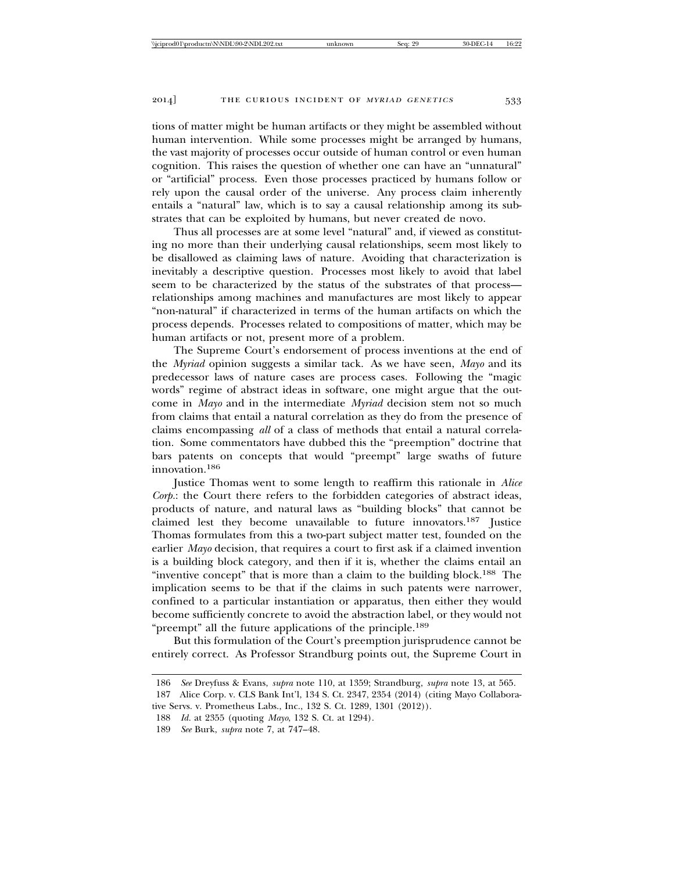tions of matter might be human artifacts or they might be assembled without human intervention. While some processes might be arranged by humans, the vast majority of processes occur outside of human control or even human cognition. This raises the question of whether one can have an "unnatural" or "artificial" process. Even those processes practiced by humans follow or rely upon the causal order of the universe. Any process claim inherently entails a "natural" law, which is to say a causal relationship among its substrates that can be exploited by humans, but never created de novo.

Thus all processes are at some level "natural" and, if viewed as constituting no more than their underlying causal relationships, seem most likely to be disallowed as claiming laws of nature. Avoiding that characterization is inevitably a descriptive question. Processes most likely to avoid that label seem to be characterized by the status of the substrates of that process relationships among machines and manufactures are most likely to appear "non-natural" if characterized in terms of the human artifacts on which the process depends. Processes related to compositions of matter, which may be human artifacts or not, present more of a problem.

The Supreme Court's endorsement of process inventions at the end of the *Myriad* opinion suggests a similar tack. As we have seen, *Mayo* and its predecessor laws of nature cases are process cases. Following the "magic words" regime of abstract ideas in software, one might argue that the outcome in *Mayo* and in the intermediate *Myriad* decision stem not so much from claims that entail a natural correlation as they do from the presence of claims encompassing *all* of a class of methods that entail a natural correlation. Some commentators have dubbed this the "preemption" doctrine that bars patents on concepts that would "preempt" large swaths of future innovation.186

Justice Thomas went to some length to reaffirm this rationale in *Alice Corp.*: the Court there refers to the forbidden categories of abstract ideas, products of nature, and natural laws as "building blocks" that cannot be claimed lest they become unavailable to future innovators.187 Justice Thomas formulates from this a two-part subject matter test, founded on the earlier *Mayo* decision, that requires a court to first ask if a claimed invention is a building block category, and then if it is, whether the claims entail an "inventive concept" that is more than a claim to the building block.188 The implication seems to be that if the claims in such patents were narrower, confined to a particular instantiation or apparatus, then either they would become sufficiently concrete to avoid the abstraction label, or they would not "preempt" all the future applications of the principle.189

But this formulation of the Court's preemption jurisprudence cannot be entirely correct. As Professor Strandburg points out, the Supreme Court in

189 *See* Burk, *supra* note 7, at 747–48.

<sup>186</sup> *See* Dreyfuss & Evans, *supra* note 110, at 1359; Strandburg, *supra* note 13, at 565.

<sup>187</sup> Alice Corp. v. CLS Bank Int'l, 134 S. Ct. 2347, 2354 (2014) (citing Mayo Collaborative Servs. v. Prometheus Labs., Inc., 132 S. Ct. 1289, 1301 (2012)).

<sup>188</sup> *Id.* at 2355 (quoting *Mayo*, 132 S. Ct. at 1294).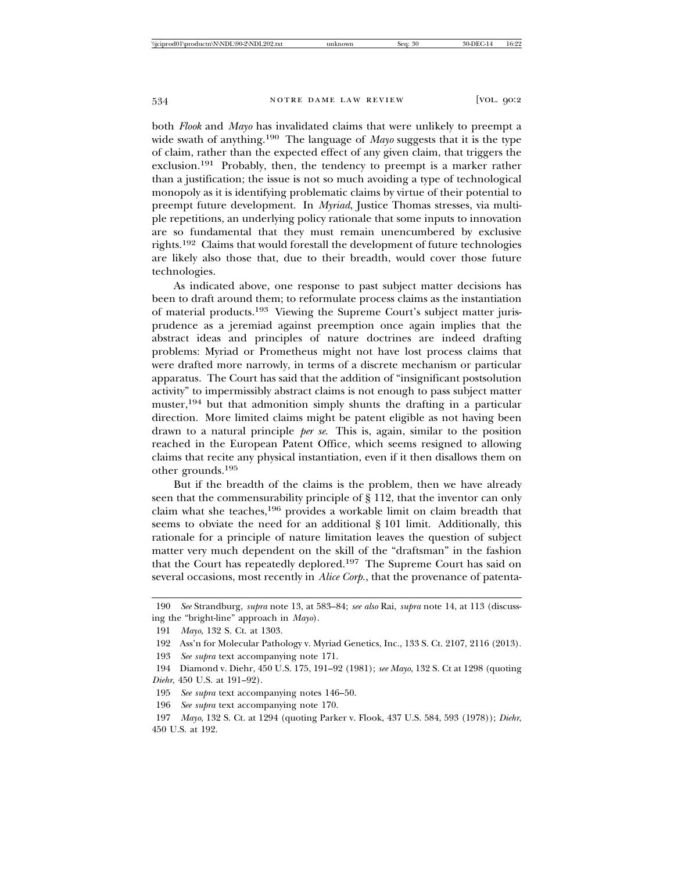both *Flook* and *Mayo* has invalidated claims that were unlikely to preempt a wide swath of anything.190 The language of *Mayo* suggests that it is the type of claim, rather than the expected effect of any given claim, that triggers the exclusion.191 Probably, then, the tendency to preempt is a marker rather than a justification; the issue is not so much avoiding a type of technological monopoly as it is identifying problematic claims by virtue of their potential to preempt future development. In *Myriad*, Justice Thomas stresses, via multiple repetitions, an underlying policy rationale that some inputs to innovation are so fundamental that they must remain unencumbered by exclusive rights.192 Claims that would forestall the development of future technologies are likely also those that, due to their breadth, would cover those future technologies.

As indicated above, one response to past subject matter decisions has been to draft around them; to reformulate process claims as the instantiation of material products.193 Viewing the Supreme Court's subject matter jurisprudence as a jeremiad against preemption once again implies that the abstract ideas and principles of nature doctrines are indeed drafting problems: Myriad or Prometheus might not have lost process claims that were drafted more narrowly, in terms of a discrete mechanism or particular apparatus. The Court has said that the addition of "insignificant postsolution activity" to impermissibly abstract claims is not enough to pass subject matter muster,194 but that admonition simply shunts the drafting in a particular direction. More limited claims might be patent eligible as not having been drawn to a natural principle *per se*. This is, again, similar to the position reached in the European Patent Office, which seems resigned to allowing claims that recite any physical instantiation, even if it then disallows them on other grounds.195

But if the breadth of the claims is the problem, then we have already seen that the commensurability principle of § 112, that the inventor can only claim what she teaches,196 provides a workable limit on claim breadth that seems to obviate the need for an additional § 101 limit. Additionally, this rationale for a principle of nature limitation leaves the question of subject matter very much dependent on the skill of the "draftsman" in the fashion that the Court has repeatedly deplored.197 The Supreme Court has said on several occasions, most recently in *Alice Corp.*, that the provenance of patenta-

193 *See supra* text accompanying note 171.

<sup>190</sup> *See* Strandburg, *supra* note 13, at 583–84; *see also* Rai, *supra* note 14, at 113 (discussing the "bright-line" approach in *Mayo*).

<sup>191</sup> *Mayo*, 132 S. Ct. at 1303.

<sup>192</sup> Ass'n for Molecular Pathology v. Myriad Genetics, Inc., 133 S. Ct. 2107, 2116 (2013).

<sup>194</sup> Diamond v. Diehr, 450 U.S. 175, 191–92 (1981); *see Mayo*, 132 S. Ct at 1298 (quoting *Diehr*, 450 U.S. at 191–92).

<sup>195</sup> *See supra* text accompanying notes 146–50.

<sup>196</sup> *See supra* text accompanying note 170.

<sup>197</sup> *Mayo*, 132 S. Ct. at 1294 (quoting Parker v. Flook, 437 U.S. 584, 593 (1978)); *Diehr*, 450 U.S. at 192.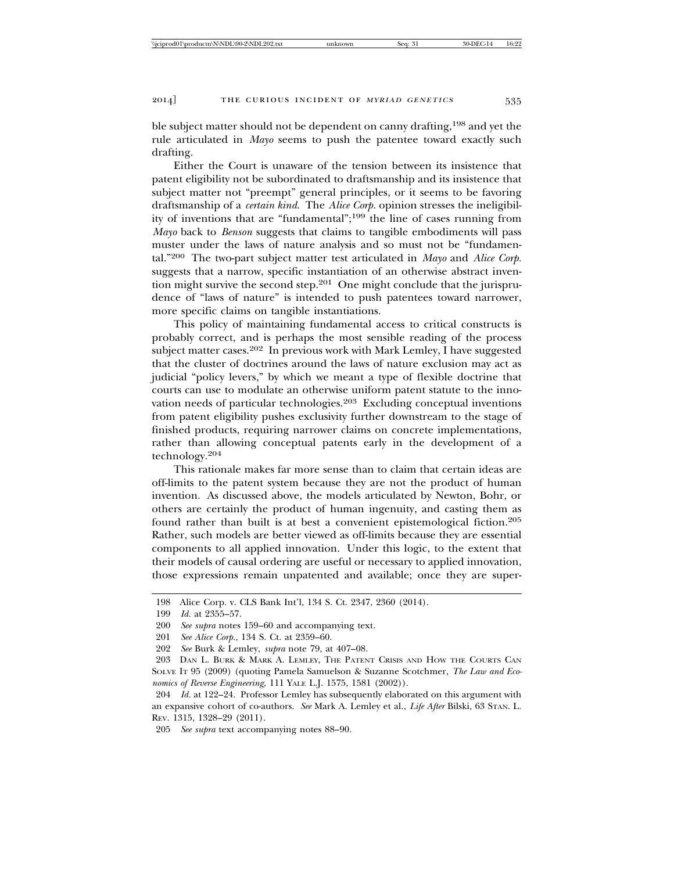ble subject matter should not be dependent on canny drafting,198 and yet the rule articulated in *Mayo* seems to push the patentee toward exactly such drafting.

Either the Court is unaware of the tension between its insistence that patent eligibility not be subordinated to draftsmanship and its insistence that subject matter not "preempt" general principles, or it seems to be favoring draftsmanship of a *certain kind*. The *Alice Corp.* opinion stresses the ineligibility of inventions that are "fundamental";199 the line of cases running from *Mayo* back to *Benson* suggests that claims to tangible embodiments will pass muster under the laws of nature analysis and so must not be "fundamental."200 The two-part subject matter test articulated in *Mayo* and *Alice Corp.* suggests that a narrow, specific instantiation of an otherwise abstract invention might survive the second step.<sup>201</sup> One might conclude that the jurisprudence of "laws of nature" is intended to push patentees toward narrower, more specific claims on tangible instantiations.

This policy of maintaining fundamental access to critical constructs is probably correct, and is perhaps the most sensible reading of the process subject matter cases.<sup>202</sup> In previous work with Mark Lemley, I have suggested that the cluster of doctrines around the laws of nature exclusion may act as judicial "policy levers," by which we meant a type of flexible doctrine that courts can use to modulate an otherwise uniform patent statute to the innovation needs of particular technologies.203 Excluding conceptual inventions from patent eligibility pushes exclusivity further downstream to the stage of finished products, requiring narrower claims on concrete implementations, rather than allowing conceptual patents early in the development of a technology.<sup>204</sup>

This rationale makes far more sense than to claim that certain ideas are off-limits to the patent system because they are not the product of human invention. As discussed above, the models articulated by Newton, Bohr, or others are certainly the product of human ingenuity, and casting them as found rather than built is at best a convenient epistemological fiction.205 Rather, such models are better viewed as off-limits because they are essential components to all applied innovation. Under this logic, to the extent that their models of causal ordering are useful or necessary to applied innovation, those expressions remain unpatented and available; once they are super-

<sup>198</sup> Alice Corp. v. CLS Bank Int'l, 134 S. Ct. 2347, 2360 (2014).

<sup>199</sup> *Id.* at 2355–57.

<sup>200</sup> *See supra* notes 159–60 and accompanying text.

<sup>201</sup> *See Alice Corp.*, 134 S. Ct. at 2359–60.

<sup>202</sup> *See* Burk & Lemley, *supra* note 79, at 407–08.

<sup>203</sup> DAN L. BURK & MARK A. LEMLEY, THE PATENT CRISIS AND HOW THE COURTS CAN SOLVE IT 95 (2009) (quoting Pamela Samuelson & Suzanne Scotchmer, *The Law and Economics of Reverse Engineering,* 111 YALE L.J. 1575, 1581 (2002)).

<sup>204</sup> *Id.* at 122–24. Professor Lemley has subsequently elaborated on this argument with an expansive cohort of co-authors. *See* Mark A. Lemley et al., *Life After* Bilski, 63 STAN. L. REV. 1315, 1328–29 (2011).

<sup>205</sup> *See supra* text accompanying notes 88–90.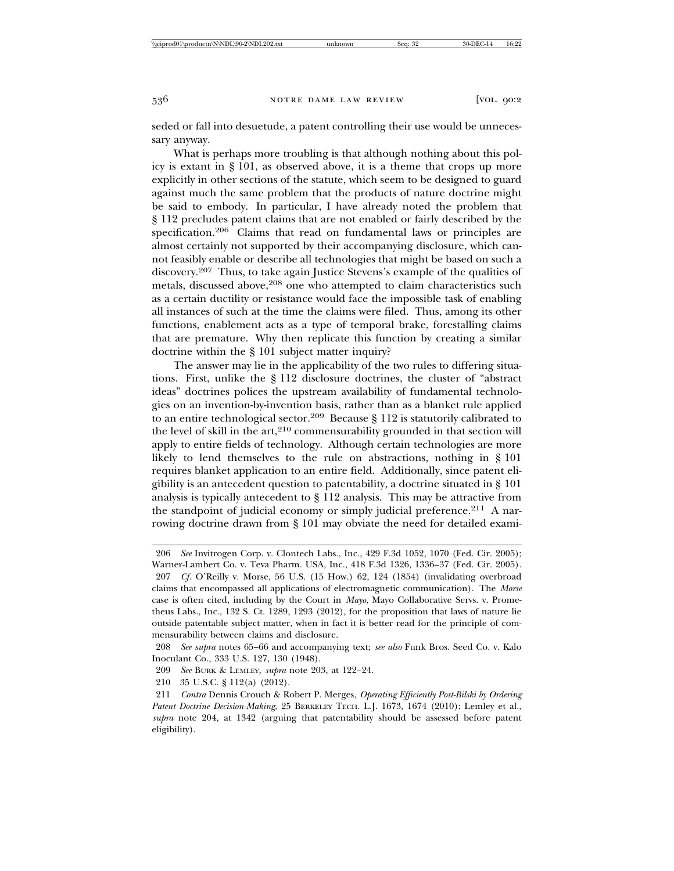seded or fall into desuetude, a patent controlling their use would be unnecessary anyway.

What is perhaps more troubling is that although nothing about this policy is extant in § 101, as observed above, it is a theme that crops up more explicitly in other sections of the statute, which seem to be designed to guard against much the same problem that the products of nature doctrine might be said to embody. In particular, I have already noted the problem that § 112 precludes patent claims that are not enabled or fairly described by the specification.206 Claims that read on fundamental laws or principles are almost certainly not supported by their accompanying disclosure, which cannot feasibly enable or describe all technologies that might be based on such a discovery.207 Thus, to take again Justice Stevens's example of the qualities of metals, discussed above,<sup>208</sup> one who attempted to claim characteristics such as a certain ductility or resistance would face the impossible task of enabling all instances of such at the time the claims were filed. Thus, among its other functions, enablement acts as a type of temporal brake, forestalling claims that are premature. Why then replicate this function by creating a similar doctrine within the § 101 subject matter inquiry?

The answer may lie in the applicability of the two rules to differing situations. First, unlike the § 112 disclosure doctrines, the cluster of "abstract ideas" doctrines polices the upstream availability of fundamental technologies on an invention-by-invention basis, rather than as a blanket rule applied to an entire technological sector.209 Because § 112 is statutorily calibrated to the level of skill in the  $art$ , $210$  commensurability grounded in that section will apply to entire fields of technology. Although certain technologies are more likely to lend themselves to the rule on abstractions, nothing in § 101 requires blanket application to an entire field. Additionally, since patent eligibility is an antecedent question to patentability, a doctrine situated in § 101 analysis is typically antecedent to § 112 analysis. This may be attractive from the standpoint of judicial economy or simply judicial preference.<sup>211</sup> A narrowing doctrine drawn from § 101 may obviate the need for detailed exami-

<sup>206</sup> *See* Invitrogen Corp. v. Clontech Labs., Inc., 429 F.3d 1052, 1070 (Fed. Cir. 2005); Warner-Lambert Co. v. Teva Pharm. USA, Inc., 418 F.3d 1326, 1336–37 (Fed. Cir. 2005).

<sup>207</sup> *Cf.* O'Reilly v. Morse, 56 U.S. (15 How.) 62, 124 (1854) (invalidating overbroad claims that encompassed all applications of electromagnetic communication). The *Morse* case is often cited, including by the Court in *Mayo*, Mayo Collaborative Servs. v. Prometheus Labs., Inc., 132 S. Ct. 1289, 1293 (2012), for the proposition that laws of nature lie outside patentable subject matter, when in fact it is better read for the principle of commensurability between claims and disclosure.

<sup>208</sup> *See supra* notes 65–66 and accompanying text; *see also* Funk Bros. Seed Co. v. Kalo Inoculant Co., 333 U.S. 127, 130 (1948).

<sup>209</sup> *See* BURK & LEMLEY, *supra* note 203, at 122–24.

<sup>210 35</sup> U.S.C. § 112(a) (2012).

<sup>211</sup> *Contra* Dennis Crouch & Robert P. Merges, *Operating Efficiently Post-Bilski by Ordering Patent Doctrine Decision-Making*, 25 BERKELEY TECH. L.J. 1673, 1674 (2010); Lemley et al., *supra* note 204, at 1342 (arguing that patentability should be assessed before patent eligibility).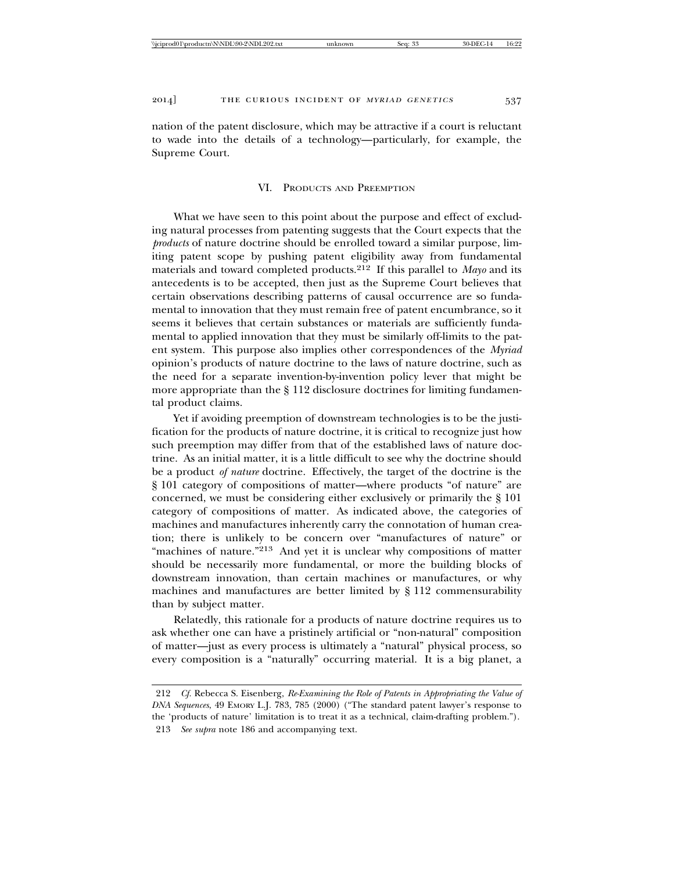nation of the patent disclosure, which may be attractive if a court is reluctant to wade into the details of a technology—particularly, for example, the Supreme Court.

#### VI. PRODUCTS AND PREEMPTION

What we have seen to this point about the purpose and effect of excluding natural processes from patenting suggests that the Court expects that the *products* of nature doctrine should be enrolled toward a similar purpose, limiting patent scope by pushing patent eligibility away from fundamental materials and toward completed products.212 If this parallel to *Mayo* and its antecedents is to be accepted, then just as the Supreme Court believes that certain observations describing patterns of causal occurrence are so fundamental to innovation that they must remain free of patent encumbrance, so it seems it believes that certain substances or materials are sufficiently fundamental to applied innovation that they must be similarly off-limits to the patent system. This purpose also implies other correspondences of the *Myriad* opinion's products of nature doctrine to the laws of nature doctrine, such as the need for a separate invention-by-invention policy lever that might be more appropriate than the § 112 disclosure doctrines for limiting fundamental product claims.

Yet if avoiding preemption of downstream technologies is to be the justification for the products of nature doctrine, it is critical to recognize just how such preemption may differ from that of the established laws of nature doctrine. As an initial matter, it is a little difficult to see why the doctrine should be a product *of nature* doctrine. Effectively, the target of the doctrine is the § 101 category of compositions of matter—where products "of nature" are concerned, we must be considering either exclusively or primarily the § 101 category of compositions of matter. As indicated above, the categories of machines and manufactures inherently carry the connotation of human creation; there is unlikely to be concern over "manufactures of nature" or "machines of nature."<sup>213</sup> And yet it is unclear why compositions of matter should be necessarily more fundamental, or more the building blocks of downstream innovation, than certain machines or manufactures, or why machines and manufactures are better limited by § 112 commensurability than by subject matter.

Relatedly, this rationale for a products of nature doctrine requires us to ask whether one can have a pristinely artificial or "non-natural" composition of matter—just as every process is ultimately a "natural" physical process, so every composition is a "naturally" occurring material. It is a big planet, a

<sup>212</sup> *Cf.* Rebecca S. Eisenberg, *Re-Examining the Role of Patents in Appropriating the Value of DNA Sequences*, 49 EMORY L.J. 783, 785 (2000) ("The standard patent lawyer's response to the 'products of nature' limitation is to treat it as a technical, claim-drafting problem."). 213 *See supra* note 186 and accompanying text.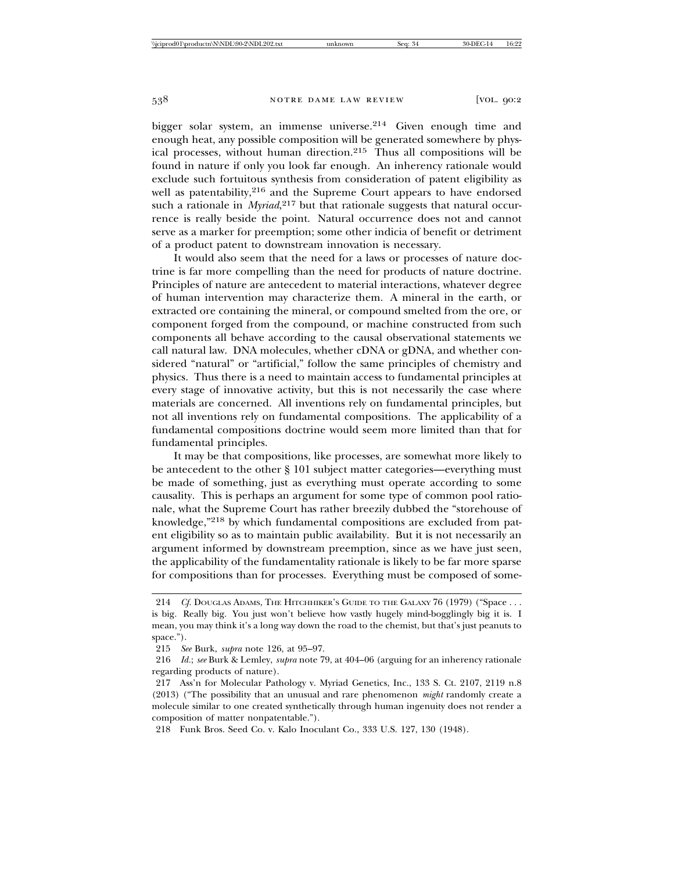bigger solar system, an immense universe.214 Given enough time and enough heat, any possible composition will be generated somewhere by physical processes, without human direction.215 Thus all compositions will be found in nature if only you look far enough. An inherency rationale would exclude such fortuitous synthesis from consideration of patent eligibility as well as patentability,<sup>216</sup> and the Supreme Court appears to have endorsed such a rationale in *Myriad*, 217 but that rationale suggests that natural occurrence is really beside the point. Natural occurrence does not and cannot serve as a marker for preemption; some other indicia of benefit or detriment of a product patent to downstream innovation is necessary.

It would also seem that the need for a laws or processes of nature doctrine is far more compelling than the need for products of nature doctrine. Principles of nature are antecedent to material interactions, whatever degree of human intervention may characterize them. A mineral in the earth, or extracted ore containing the mineral, or compound smelted from the ore, or component forged from the compound, or machine constructed from such components all behave according to the causal observational statements we call natural law. DNA molecules, whether cDNA or gDNA, and whether considered "natural" or "artificial," follow the same principles of chemistry and physics. Thus there is a need to maintain access to fundamental principles at every stage of innovative activity, but this is not necessarily the case where materials are concerned. All inventions rely on fundamental principles, but not all inventions rely on fundamental compositions. The applicability of a fundamental compositions doctrine would seem more limited than that for fundamental principles.

It may be that compositions, like processes, are somewhat more likely to be antecedent to the other § 101 subject matter categories—everything must be made of something, just as everything must operate according to some causality. This is perhaps an argument for some type of common pool rationale, what the Supreme Court has rather breezily dubbed the "storehouse of knowledge,"218 by which fundamental compositions are excluded from patent eligibility so as to maintain public availability. But it is not necessarily an argument informed by downstream preemption, since as we have just seen, the applicability of the fundamentality rationale is likely to be far more sparse for compositions than for processes. Everything must be composed of some-

<sup>214</sup> *Cf.* DOUGLAS ADAMS, THE HITCHHIKER'S GUIDE TO THE GALAXY 76 (1979) ("Space . . . is big. Really big. You just won't believe how vastly hugely mind-bogglingly big it is. I mean, you may think it's a long way down the road to the chemist, but that's just peanuts to space.").

<sup>215</sup> *See* Burk, *supra* note 126, at 95–97.

<sup>216</sup> *Id.*; *see* Burk & Lemley, *supra* note 79, at 404–06 (arguing for an inherency rationale regarding products of nature).

<sup>217</sup> Ass'n for Molecular Pathology v. Myriad Genetics, Inc., 133 S. Ct. 2107, 2119 n.8 (2013) ("The possibility that an unusual and rare phenomenon *might* randomly create a molecule similar to one created synthetically through human ingenuity does not render a composition of matter nonpatentable.").

<sup>218</sup> Funk Bros. Seed Co. v. Kalo Inoculant Co., 333 U.S. 127, 130 (1948).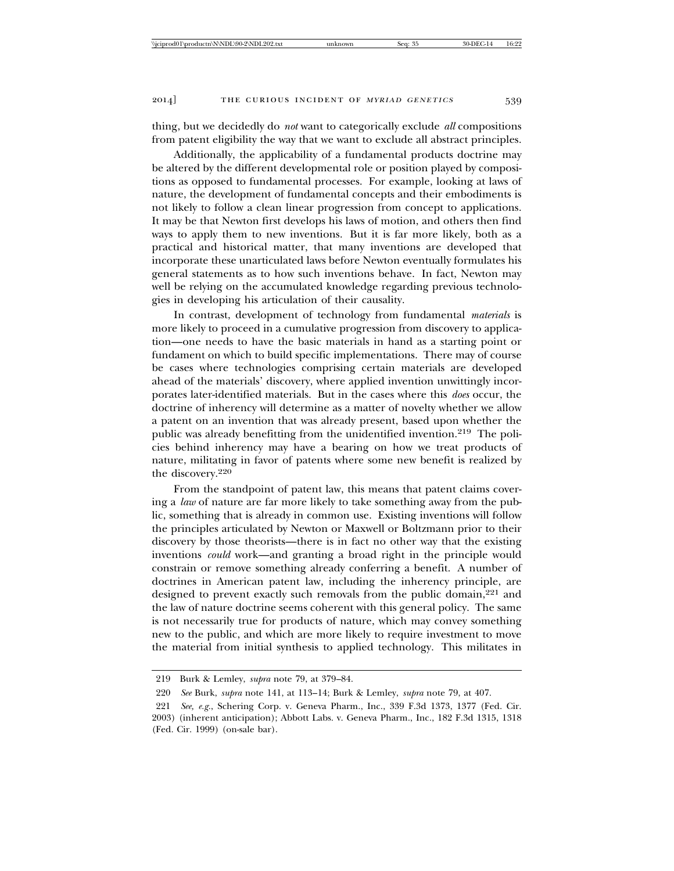thing, but we decidedly do *not* want to categorically exclude *all* compositions from patent eligibility the way that we want to exclude all abstract principles.

Additionally, the applicability of a fundamental products doctrine may be altered by the different developmental role or position played by compositions as opposed to fundamental processes. For example, looking at laws of nature, the development of fundamental concepts and their embodiments is not likely to follow a clean linear progression from concept to applications. It may be that Newton first develops his laws of motion, and others then find ways to apply them to new inventions. But it is far more likely, both as a practical and historical matter, that many inventions are developed that incorporate these unarticulated laws before Newton eventually formulates his general statements as to how such inventions behave. In fact, Newton may well be relying on the accumulated knowledge regarding previous technologies in developing his articulation of their causality.

In contrast, development of technology from fundamental *materials* is more likely to proceed in a cumulative progression from discovery to application—one needs to have the basic materials in hand as a starting point or fundament on which to build specific implementations. There may of course be cases where technologies comprising certain materials are developed ahead of the materials' discovery, where applied invention unwittingly incorporates later-identified materials. But in the cases where this *does* occur, the doctrine of inherency will determine as a matter of novelty whether we allow a patent on an invention that was already present, based upon whether the public was already benefitting from the unidentified invention.219 The policies behind inherency may have a bearing on how we treat products of nature, militating in favor of patents where some new benefit is realized by the discovery.220

From the standpoint of patent law, this means that patent claims covering a *law* of nature are far more likely to take something away from the public, something that is already in common use. Existing inventions will follow the principles articulated by Newton or Maxwell or Boltzmann prior to their discovery by those theorists—there is in fact no other way that the existing inventions *could* work—and granting a broad right in the principle would constrain or remove something already conferring a benefit. A number of doctrines in American patent law, including the inherency principle, are designed to prevent exactly such removals from the public domain,<sup>221</sup> and the law of nature doctrine seems coherent with this general policy. The same is not necessarily true for products of nature, which may convey something new to the public, and which are more likely to require investment to move the material from initial synthesis to applied technology. This militates in

<sup>219</sup> Burk & Lemley, *supra* note 79, at 379–84.

<sup>220</sup> *See* Burk, *supra* note 141, at 113–14; Burk & Lemley, *supra* note 79, at 407.

<sup>221</sup> *See, e.g.*, Schering Corp. v. Geneva Pharm., Inc., 339 F.3d 1373, 1377 (Fed. Cir. 2003) (inherent anticipation); Abbott Labs. v. Geneva Pharm., Inc., 182 F.3d 1315, 1318 (Fed. Cir. 1999) (on-sale bar).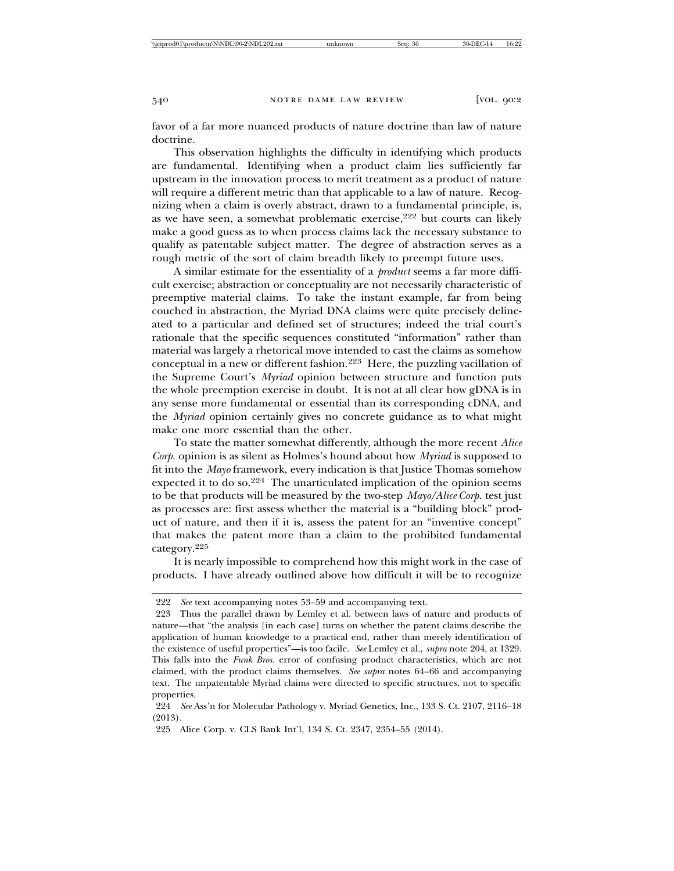favor of a far more nuanced products of nature doctrine than law of nature doctrine.

This observation highlights the difficulty in identifying which products are fundamental. Identifying when a product claim lies sufficiently far upstream in the innovation process to merit treatment as a product of nature will require a different metric than that applicable to a law of nature. Recognizing when a claim is overly abstract, drawn to a fundamental principle, is, as we have seen, a somewhat problematic exercise,222 but courts can likely make a good guess as to when process claims lack the necessary substance to qualify as patentable subject matter. The degree of abstraction serves as a rough metric of the sort of claim breadth likely to preempt future uses.

A similar estimate for the essentiality of a *product* seems a far more difficult exercise; abstraction or conceptuality are not necessarily characteristic of preemptive material claims. To take the instant example, far from being couched in abstraction, the Myriad DNA claims were quite precisely delineated to a particular and defined set of structures; indeed the trial court's rationale that the specific sequences constituted "information" rather than material was largely a rhetorical move intended to cast the claims as somehow conceptual in a new or different fashion.223 Here, the puzzling vacillation of the Supreme Court's *Myriad* opinion between structure and function puts the whole preemption exercise in doubt. It is not at all clear how gDNA is in any sense more fundamental or essential than its corresponding cDNA, and the *Myriad* opinion certainly gives no concrete guidance as to what might make one more essential than the other.

To state the matter somewhat differently, although the more recent *Alice Corp.* opinion is as silent as Holmes's hound about how *Myriad* is supposed to fit into the *Mayo* framework, every indication is that Justice Thomas somehow expected it to do so.224 The unarticulated implication of the opinion seems to be that products will be measured by the two-step *Mayo/Alice Corp.* test just as processes are: first assess whether the material is a "building block" product of nature, and then if it is, assess the patent for an "inventive concept" that makes the patent more than a claim to the prohibited fundamental category.<sup>225</sup>

It is nearly impossible to comprehend how this might work in the case of products. I have already outlined above how difficult it will be to recognize

<sup>222</sup> *See* text accompanying notes 53–59 and accompanying text.

<sup>223</sup> Thus the parallel drawn by Lemley et al. between laws of nature and products of nature—that "the analysis [in each case] turns on whether the patent claims describe the application of human knowledge to a practical end, rather than merely identification of the existence of useful properties"—is too facile. *See* Lemley et al., *supra* note 204, at 1329. This falls into the *Funk Bros.* error of confusing product characteristics, which are not claimed, with the product claims themselves. *See supra* notes 64–66 and accompanying text. The unpatentable Myriad claims were directed to specific structures, not to specific properties.

<sup>224</sup> *See* Ass'n for Molecular Pathology v. Myriad Genetics, Inc., 133 S. Ct. 2107, 2116–18 (2013).

<sup>225</sup> Alice Corp. v. CLS Bank Int'l, 134 S. Ct. 2347, 2354–55 (2014).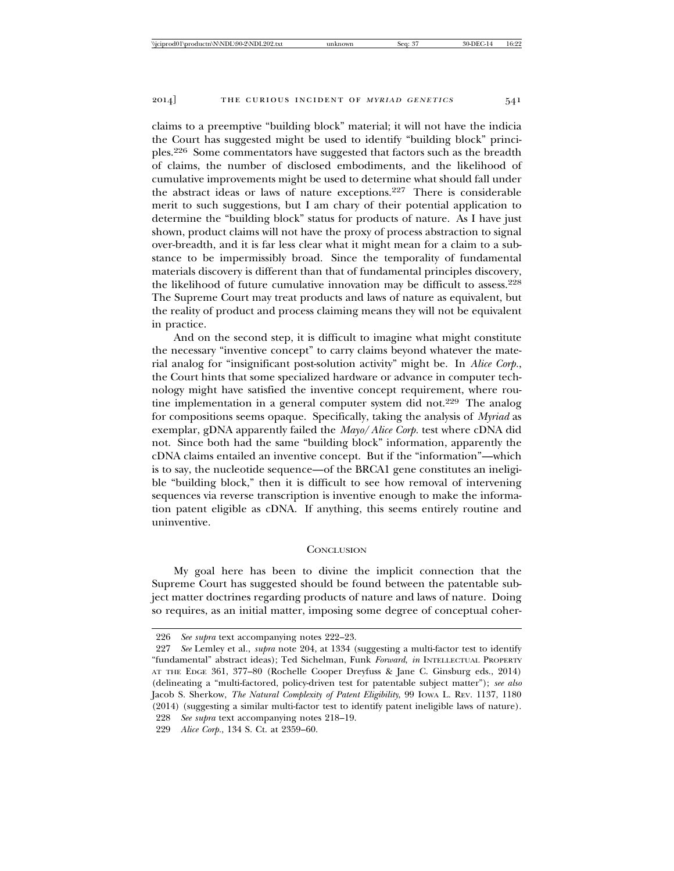claims to a preemptive "building block" material; it will not have the indicia the Court has suggested might be used to identify "building block" principles.226 Some commentators have suggested that factors such as the breadth of claims, the number of disclosed embodiments, and the likelihood of cumulative improvements might be used to determine what should fall under the abstract ideas or laws of nature exceptions.227 There is considerable merit to such suggestions, but I am chary of their potential application to determine the "building block" status for products of nature. As I have just shown, product claims will not have the proxy of process abstraction to signal over-breadth, and it is far less clear what it might mean for a claim to a substance to be impermissibly broad. Since the temporality of fundamental materials discovery is different than that of fundamental principles discovery, the likelihood of future cumulative innovation may be difficult to assess.228 The Supreme Court may treat products and laws of nature as equivalent, but the reality of product and process claiming means they will not be equivalent in practice.

And on the second step, it is difficult to imagine what might constitute the necessary "inventive concept" to carry claims beyond whatever the material analog for "insignificant post-solution activity" might be. In *Alice Corp.*, the Court hints that some specialized hardware or advance in computer technology might have satisfied the inventive concept requirement, where routine implementation in a general computer system did not.229 The analog for compositions seems opaque. Specifically, taking the analysis of *Myriad* as exemplar, gDNA apparently failed the *Mayo*/*Alice Corp.* test where cDNA did not. Since both had the same "building block" information, apparently the cDNA claims entailed an inventive concept. But if the "information"—which is to say, the nucleotide sequence—of the BRCA1 gene constitutes an ineligible "building block," then it is difficult to see how removal of intervening sequences via reverse transcription is inventive enough to make the information patent eligible as cDNA. If anything, this seems entirely routine and uninventive.

#### **CONCLUSION**

My goal here has been to divine the implicit connection that the Supreme Court has suggested should be found between the patentable subject matter doctrines regarding products of nature and laws of nature. Doing so requires, as an initial matter, imposing some degree of conceptual coher-

<sup>226</sup> *See supra* text accompanying notes 222–23.

<sup>227</sup> *See* Lemley et al., *supra* note 204, at 1334 (suggesting a multi-factor test to identify "fundamental" abstract ideas); Ted Sichelman, Funk *Forward*, *in* INTELLECTUAL PROPERTY AT THE EDGE 361, 377–80 (Rochelle Cooper Dreyfuss & Jane C. Ginsburg eds., 2014) (delineating a "multi-factored, policy-driven test for patentable subject matter"); *see also* Jacob S. Sherkow, *The Natural Complexity of Patent Eligibility*, 99 IOWA L. REV. 1137, 1180 (2014) (suggesting a similar multi-factor test to identify patent ineligible laws of nature). 228 *See supra* text accompanying notes 218–19.

<sup>229</sup> *Alice Corp.*, 134 S. Ct. at 2359–60.